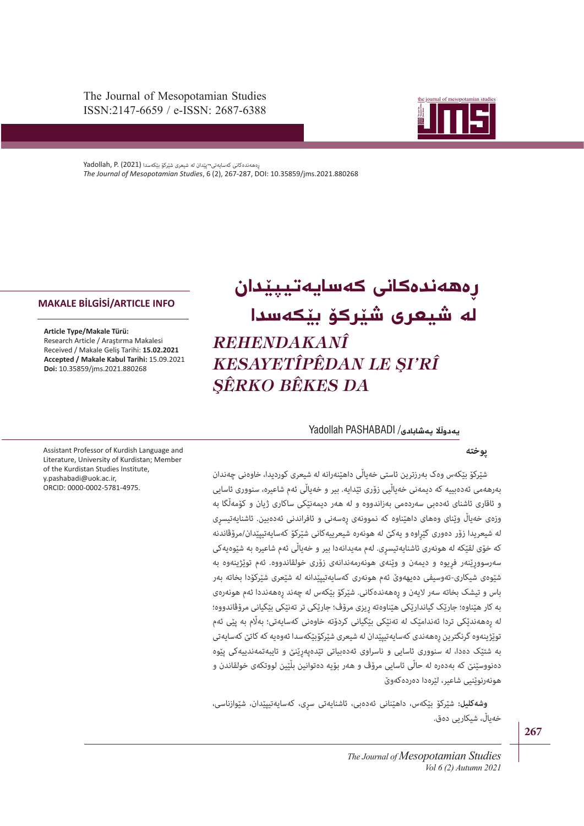The Journal of Mesopotamian Studies ISSN:2147-6659 / e-ISSN: 2687-6388



ڕەهەندەکانی کەسایەتی¬پێدان له شیعری شێرکۆ بێکەسدا (2021) .P ,Yadollah *The Journal of Mesopotamian Studies*, 6 (2), 267-287, DOI: 10.35859/jms.2021.880268

# .<br>له <mark>شیعری شێر</mark>کۆ بێکەسدا **ڕەهەندەکانی کەسایەتیپێدان**  *REHENDAKANÎ KESAYETÎPÊDAN LE ŞI'RÎ ŞÊRKO BÊKES DA*

#### **ڵ پەشابادی**/ PASHABADI Yadollah **� یەدو ڵ**

## **پوخته**

شێرکۆ بێکەس وەک بەرزترین ئاستی خەیاڵی داھێنەرانە لە شیعری کوردیدا، خاوەنی چەندان **TÜRYİYE'DE YAŞAYAN DİLLER ENSTİTÜSÜ** بەرهەمی ئەدەبییه که دیمەنی خەیاڵیی زۆری تێدایه. بیر و خەیاڵی ئەم شاعیره، سنووری ئاسایی و ئاقاری ئاشنای ئەدەبی سەردەمی بەزاندووه و له هەر دیمەنێکی ساکاری ژیان و کۆمەڵگا به وزەی خەیاڵ وێنای وەهای داهێناوه که نموونەی ڕەسەنی و ئافراندنی ئەدەبین. ئاشنایەتیسڕی له شیعریدا زۆر دەوری گێڕاوهو یەکێ له هونەرە شیعرییەکانی شێرکۆ کەسایەتیپێدان/مرۆڤاندنه که خۆی لقێکه له هونەری ئاشنایەتیسڕی. لەم مەیدانەدا بیر و خەیاڵی ئەم شاعیره به شێوەیەکی سەرسووڕێنەر فڕیوه و دیمەن و وێنەی هونەرمەندانەی زۆری خولقاندووه. ئەم توێژینەوه به شێوەی شیکاری-تەوسیفی دەیهەوێ ئەم هونەری کەسایەتیپێدانه له شێعری شێرکۆدا بخاته بەر باس و تیشک بخاته سەر الیەن و ڕەهەندەکانی. شێرکۆ بێکەس له چەند ڕەهەنددا ئەم هونەرەی به کار هێناوه؛ جارێک گیاندارێکی هێناوەته ڕیزی مرۆڤ؛ جارێکی تر تەنێکی بێگیانی مرۆڤاندووه؛ له ڕەهەندێکی تردا ئەندامێک له تەنێکی بێگیانی کردۆته خاوەنی کەسایەتی؛ بەاڵم به پێی ئەم توێژینەوه گرنگترین ڕەهەندی کەسایەتیپێدان له شیعری شێرکۆبێکەسدا ئەوەیه که کاتێ کەسایەتی به شتێک دەدا، له سنووری ئاسایی و ناسراوی ئەدەبیاتی تێدەپەڕێنێ و تایبەتمەندییەکی پێوه دەنووسێنێ که بەدەره له حاڵی ئاسایی مرۆڤ و هەر بۆیه دەتوانین بڵێین لووتکەی خولقاندن و هونەرنوێنیی شاعیر، لێرەدا دەردەکەوێ

**وشەکلیل:** شێرکۆ بێکەس، داهێنانی ئەدەبی، ئاشنایەتی سڕی، کەسایەتیپێدان، شێوازناسی، خەیاڵ، شیکاریی دەق.

Assistant Professor of Kurdish Language and Literature, University of Kurdistan; Member of the Kurdistan Studies Institute, y.pashabadi@uok.ac.ir, ORCID: 0000-0002-5781-4975.

**MAKALE BİLGİSİ/ARTICLE INFO**

Research Article / Araştırma Makalesi Received / Makale Geliş Tarihi: **15.02.2021 Accepted / Makale Kabul Tarihi:** 15.09.2021

**Doi:** 10.35859/jms.2021.880268

**Article Type/Makale Türü:**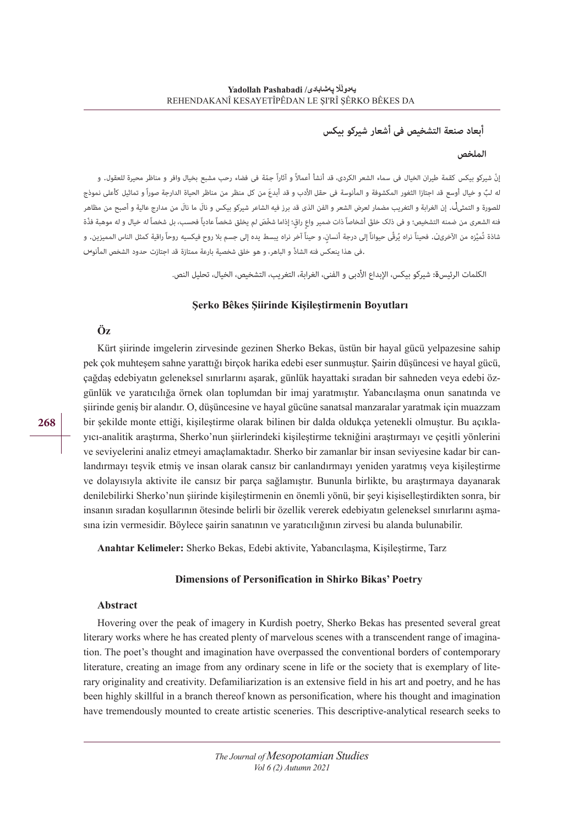#### **أبعاد صنعة التشخیص فی أشعار شیرکو بیکس**

#### **الملخص**

ّ إن شیرکو بیکس کقمة طیران الخیال فی سماء الشعر الکردی، قد أنشأ أعماالً و آثاراً ّجمة فی فضاء رحب مشبع بخیال وافر و مناظر محیرة للعقول. و له لبٌ و خیال أوسع قد اجتازا الثغور المکشوفة و المأنوسة فی حقل الأدب و قد أبدعَ من کل منظر من مناظر الحیاة الدارجة صوراً و تماثیل کأعلی نموذج للصورة و التمثیاٰ۔ إن الغرابة و التغریب مضمار لعرض الشعر و الفن الذی قد برز فیه الشاعر شیرکو بیکس و نالَ ما نالَ من مدارج عالیة و أصبح من مظاهر .<br>فنه الشعری من ضمنه التشخیص؛ و فی ذلک خلقَ أشخاصاً ذات ضمیر واع راق؛ إذاما شخّصَ لم یخلق شخصاً عادیاً فحسب، بل شخصاً له خیال و له موهبة فذّة شاذة تُميَّزه من الآخرى<mark>ن. ف</mark>حيناً نراه يُرقًى حيواناً إلى درجة أنسانٍ، و حيناً آخر نراه يبسط يده إلى جسم بلا روح فيکسيه روحاً راقية کمثل الناس المميزين. و .فی هذا ینعکس فنه الشاذّ و الباهر، و هو خلق شخصیة بارعة ممتازة قد اجتازت حدود الشخص المأنو<sup>س</sup>

الکلمات الرئیس**ة:** شیرکو بیکس، اإلبداع األدبی و الفنی، الغرابة، التغریب، التشخیص، الخیال، تحلیل النص.

#### **Şerko Bêkes Şiirinde Kişileştirmenin Boyutları**

#### **Öz**

Kürt şiirinde imgelerin zirvesinde gezinen Sherko Bekas, üstün bir hayal gücü yelpazesine sahip pek çok muhteşem sahne yarattığı birçok harika edebi eser sunmuştur. Şairin düşüncesi ve hayal gücü, çağdaş edebiyatın geleneksel sınırlarını aşarak, günlük hayattaki sıradan bir sahneden veya edebi özgünlük ve yaratıcılığa örnek olan toplumdan bir imaj yaratmıştır. Yabancılaşma onun sanatında ve şiirinde geniş bir alandır. O, düşüncesine ve hayal gücüne sanatsal manzaralar yaratmak için muazzam bir şekilde monte ettiği, kişileştirme olarak bilinen bir dalda oldukça yetenekli olmuştur. Bu açıklayıcı-analitik araştırma, Sherko'nun şiirlerindeki kişileştirme tekniğini araştırmayı ve çeşitli yönlerini ve seviyelerini analiz etmeyi amaçlamaktadır. Sherko bir zamanlar bir insan seviyesine kadar bir canlandırmayı teşvik etmiş ve insan olarak cansız bir canlandırmayı yeniden yaratmış veya kişileştirme ve dolayısıyla aktivite ile cansız bir parça sağlamıştır. Bununla birlikte, bu araştırmaya dayanarak denilebilirki Sherko'nun şiirinde kişileştirmenin en önemli yönü, bir şeyi kişiselleştirdikten sonra, bir insanın sıradan koşullarının ötesinde belirli bir özellik vererek edebiyatın geleneksel sınırlarını aşmasına izin vermesidir. Böylece şairin sanatının ve yaratıcılığının zirvesi bu alanda bulunabilir.

**Anahtar Kelimeler:** Sherko Bekas, Edebi aktivite, Yabancılaşma, Kişileştirme, Tarz

#### **Dimensions of Personification in Shirko Bikas' Poetry**

#### **Abstract**

Hovering over the peak of imagery in Kurdish poetry, Sherko Bekas has presented several great literary works where he has created plenty of marvelous scenes with a transcendent range of imagination. The poet's thought and imagination have overpassed the conventional borders of contemporary literature, creating an image from any ordinary scene in life or the society that is exemplary of literary originality and creativity. Defamiliarization is an extensive field in his art and poetry, and he has been highly skillful in a branch thereof known as personification, where his thought and imagination have tremendously mounted to create artistic sceneries. This descriptive-analytical research seeks to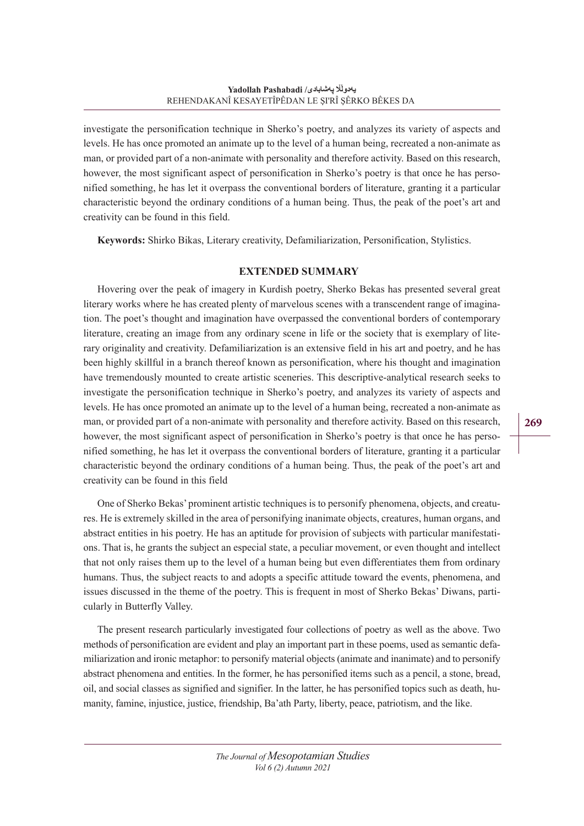investigate the personification technique in Sherko's poetry, and analyzes its variety of aspects and levels. He has once promoted an animate up to the level of a human being, recreated a non-animate as man, or provided part of a non-animate with personality and therefore activity. Based on this research, however, the most significant aspect of personification in Sherko's poetry is that once he has personified something, he has let it overpass the conventional borders of literature, granting it a particular characteristic beyond the ordinary conditions of a human being. Thus, the peak of the poet's art and creativity can be found in this field.

**Keywords:** Shirko Bikas, Literary creativity, Defamiliarization, Personification, Stylistics.

#### **EXTENDED SUMMARY**

Hovering over the peak of imagery in Kurdish poetry, Sherko Bekas has presented several great literary works where he has created plenty of marvelous scenes with a transcendent range of imagination. The poet's thought and imagination have overpassed the conventional borders of contemporary literature, creating an image from any ordinary scene in life or the society that is exemplary of literary originality and creativity. Defamiliarization is an extensive field in his art and poetry, and he has been highly skillful in a branch thereof known as personification, where his thought and imagination have tremendously mounted to create artistic sceneries. This descriptive-analytical research seeks to investigate the personification technique in Sherko's poetry, and analyzes its variety of aspects and levels. He has once promoted an animate up to the level of a human being, recreated a non-animate as man, or provided part of a non-animate with personality and therefore activity. Based on this research, however, the most significant aspect of personification in Sherko's poetry is that once he has personified something, he has let it overpass the conventional borders of literature, granting it a particular characteristic beyond the ordinary conditions of a human being. Thus, the peak of the poet's art and creativity can be found in this field

One of Sherko Bekas' prominent artistic techniques is to personify phenomena, objects, and creatures. He is extremely skilled in the area of personifying inanimate objects, creatures, human organs, and abstract entities in his poetry. He has an aptitude for provision of subjects with particular manifestations. That is, he grants the subject an especial state, a peculiar movement, or even thought and intellect that not only raises them up to the level of a human being but even differentiates them from ordinary humans. Thus, the subject reacts to and adopts a specific attitude toward the events, phenomena, and issues discussed in the theme of the poetry. This is frequent in most of Sherko Bekas' Diwans, particularly in Butterfly Valley.

The present research particularly investigated four collections of poetry as well as the above. Two methods of personification are evident and play an important part in these poems, used as semantic defamiliarization and ironic metaphor: to personify material objects (animate and inanimate) and to personify abstract phenomena and entities. In the former, he has personified items such as a pencil, a stone, bread, oil, and social classes as signified and signifier. In the latter, he has personified topics such as death, humanity, famine, injustice, justice, friendship, Ba'ath Party, liberty, peace, patriotism, and the like.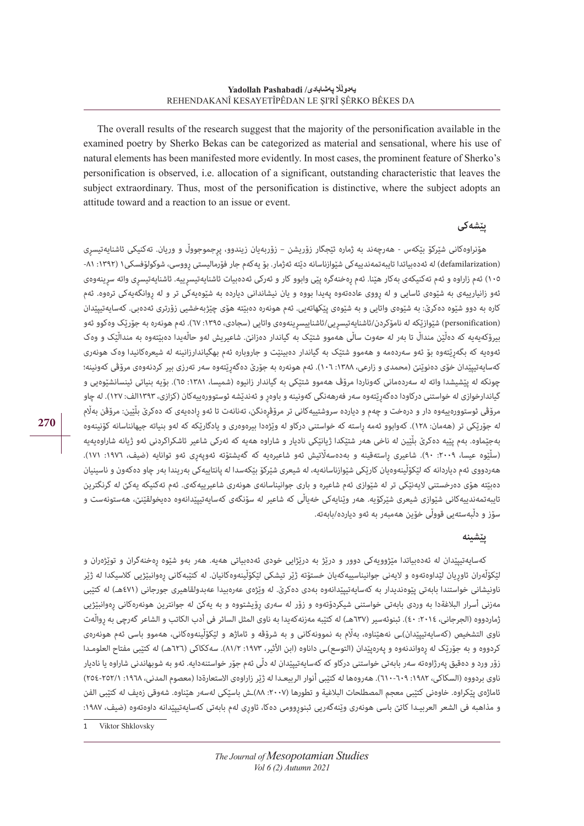The overall results of the research suggest that the majority of the personification available in the examined poetry by Sherko Bekas can be categorized as material and sensational, where his use of natural elements has been manifested more evidently. In most cases, the prominent feature of Sherko's personification is observed, i.e. allocation of a significant, outstanding characteristic that leaves the subject extraordinary. Thus, most of the personification is distinctive, where the subject adopts an attitude toward and a reaction to an issue or event.

## **پێشەکی**

هۆنراوەکانی شێرکۆ بێکەس - هەرچەند به ژماره ئێجگار زۆریشن – زۆربەیان زیندوو، پڕجموجووڵ و وریان. تەکنیکی ئاشنایەتیسڕی (defamilarization) له ئەدەبیاتدا تایبەتمەندییەکی شێوازناسانە دێته ئەژمار. بۆ یەکەم جار فۆرمالیستی رووسی، شوکولۆفسکی١ (١٣٩٢: ٨١-١٠٥) ئەم زاراوه و ئەم تەکنیکەی بەکار هێنا. ئەم رەخنەگرە پێی وابوو کار و ئەرکی ئەدەبیات ئاشنایەتیسری انقىسرى واتە سرینەوەی ئهو زانیارییەی به شێوەی ئاسایی و له رووی عادەتەوه پەیدا بووه و یان نیشاندانی دیارده به شێوەیەکی تر و له روانگەیەکی ترەوه. ئەم کاره به دوو شێوه دەکرێ: به شێوەی واتایی و به شێوەی پێکهاتەیی. ئەم هونەره دەبێته هۆی چێژبەخشیی زۆرتری ئەدەبی. کەسایەتیپێدان )personification )شێوازێکه له نامۆکردن/ئاشنایەتیسڕیی/ئاشناییسڕینەوەی واتایی )سجادی، :١٣٩٥ ٦٧(. ئەم هونەره به جۆرێک وەکوو ئەو بیرۆکەیەیە که دەڵێن منداڵ تا بەر له حەوت ساڵی هەموو شتێک به گیاندار دەزانێ. شاعیریش لەو حاڵەیدا دەبێتەوه به منداڵێک و وەک ئەوەیه که بگەڕێتەوه بۆ ئەو سەردەمه و هەموو شتێک به گیاندار دەبینێت و جاروباره ئەم بهگیاندارزانینه له شیعرەکانیدا وەک هونەری کەسایەتیپێدان خۆی دەنوێنێ (محمدی و زارعی، ١٣٨٨: ١٠٦). ئەم هونەره به جۆرێ دەگەرێتەوە سەر تەرزی بیر کردنەوەی مرۆڤی کەونینه؛ چونکه له پێشیشدا واته له سەردەمانی کەوناردا مرۆڤ هەموو شتێکی به گیاندار زانیوه (شمیسا، ١٣٨١: ٦٥). بۆیه بنیاتی ئینسانشێوەیی و گیاندارخوازی له خواستنی درکاودا دەگەرێتەوە سەر فەرھەنگی کەونینە و باوەر و ئەندێشە ئوستوورەییەکان (کزازی، ١٣٩٣الف: ١٢٧). لە چاو مرۆڤی ئوستوورەییەوه دار و درەخت و چەم و دیارده سروشتییەکانی تر مرۆڤڕەنگن، تەنانەت تا ئەو ڕادەیەی که دەکرێ بڵێین: مرۆڤن بەاڵم له جۆرێکی تر (هەمان: ١٢٨). کەوابوو ئەمە راسته که خواستنی درکاو له وێژەدا بیرەوەری و یادگارێکه که لەو بنیاته جیهانناسانه کۆنینەوه بەجێماوه. بەم پێیه دەکرێ بڵێین له ناخی هەر شتێکدا ژیانێکی نادیار و شاراوه هەیه که ئەرکی شاعیر ئاشکراکردنی ئەو ژیانه شاراوەیەیه (سلّیّوه عیسا، ٢٠٠٩، ۴٠٠). شاعیری رِاستەقینه و بەدەسەلّاتیش ئەو شاعیرەیه که گەیشتۆته ئەوپەرِی ئەو توانایه (ضیف، ١٩٧٦: ١٧١). هەردووی ئەم دیاردانه که لێکۆڵینەوەیان کارێکی شێوازناسانەیه، له شیعری شێرکۆ بێکەسدا له پانتاییەکی بەریندا بەر چاو دەکەون و ناسینیان دەبێته هۆی دەرخستنی الیەنێکی تر له شێوازی ئەم شاعیره و باری جوانیناسانەی هونەری شاعیرییەکەی. ئەم تەکنیکه یەکێ له گرنگترین تایبەتمەندییەکانی شێوازی شیعری شێرکۆیە. هەر وێنایەکی خەیاڵی که شاعیر له سۆنگەی کەسایەتیپێدانەوە دەیخولقێنێ، هەستونەست و سۆز و دڵبەستەیی قووڵی خۆین هەمبەر به ئەو دیارده/بابەته.

### **پێشینه**

کەسایەتیپێدان له ئەدەبیاتدا مێژوویەکی دوور و درێژ به درێژایی خودی ئەدەبیاتی هەیه. هەر بەو شێوه ڕەخنەگران و توێژەران و لٽکۆڵەران ئاورىان لٽداوەتەوە و لايەنى جوانیناسییەکەیان خستۆتە ژێر تیشکی لٽکۆڵینەوەکانیان. لە کتٽبەکانی رەوانیٽژیی کلاسیکدا لە ژێر ناونیشانی خواستندا بابەتی پێوەندیدار به کەسایەتیپێدانەوە بەدی دەکرێ. له وێژەی عەرەبیدا عەبدولقاهیری جورجانی (٤٧١هـ) له کتێبی مەزنی أسرار البالغةدا به وردی بابەتی خواستنی شیکردۆتەوه و زۆر له سەری ڕۆیشتووه و به یەکێ له جوانترین هونەرەکانی ڕەوانبێژیی ژماردووه (الجرجانی، ٢٠١٤: ٤٠). ئبنوئەسیر (٦٣٧هـ) له کتێبه مەزنەکەیدا به ناوی المثل السائر فی أدب الکاتب و الشاعر گەرچی به رواڵەت ناوی التشخیص (كەسایەتیپێدان)ـی نەھێناوە، بەڵم بە نموونەکانی و بە شرۆڤە و ئاماژھ و لێکۆڵینەوەکانی، ھەموو باسی ئەم ھونەرەی کردووه و به جۆرێک له رەواندنەوه و پەرەپێدان (التوسع)ـی داناوه (ابن الأثیر، ١٩٧٣: ٨١/٢). سەککاکی (٦٢٦هـ) له کتێبی مفتاح العلومـدا زۆر ورد و دەقیق پەرژاوەته سەر بابەتی خواستنی درکاو که کەسایەتیپێدان له دڵی ئەم جۆر خواستنەدایه. ئەو به شوبهاندنی شاراوه یا نادیار ناوی بردووه (السکاکی، ١٩٨٢: ٦٠٩-٦١٠). هەروەها له کتێبی أنوار الربیعـدا له ژێر زاراوەی الاستعارةدا (معصوم المدنی، ١٩٦٨: ٢٥٢-٢٥٤) ئاماژەی پێکراوه. خاوەنی کتێبی معجم المصطلحات البالغیة و تطورها ):٢٠٠٧ ٨٨(ـش باسێکی لەسەر هێناوه. شەوقی زەیف له کتێبی الفن و مذاهبه فی الشعر العربیـدا کاتێ باسی هونەری وێنەگەریی ئبنوڕوومی دەکا، ئاوڕی لەم بابەتی کەسایەتیپێدانه داوەتەوە (ضیف، ١٩٨٧:

Viktor Shklovsky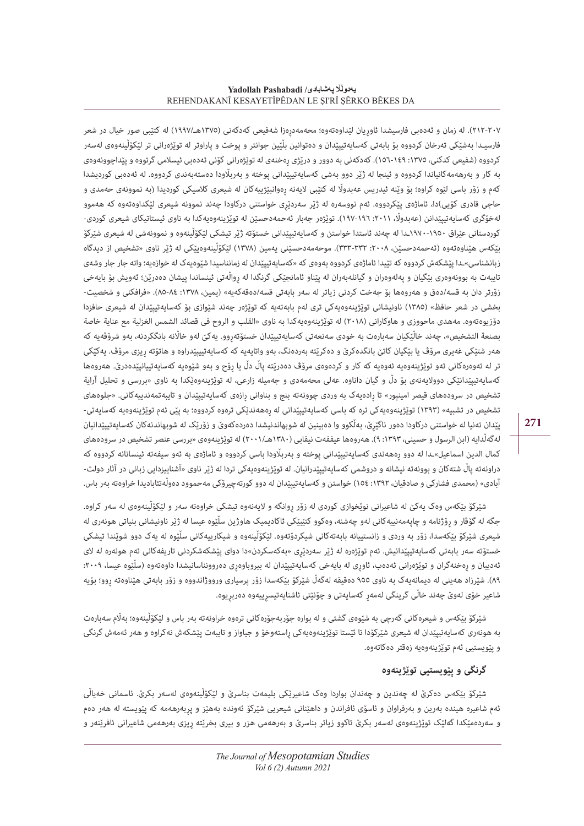#### **Yadollah Pashabadi /Yadollah Pashab** REHENDAKANÎ KESAYETÎPÊDAN LE ŞI'RÎ ŞÊRKO BÊKES DA

٢١٢-٢١٢). له زمان و ئەدەبی فارسیشدا ئاوریان لێداوەتەوه؛ محەمەدرەزا شەفیعی کەدکەنی (١٣٧٥هـ/١٩٩٧) له کتێبی صور خیال در شعر فارسیـدا بەشێکی تەرخان کردووه بۆ بابەتی کەسایەتیپێدان و دەتوانین بڵێین جوانتر و پوخت و پاراوتر له توێژەرانی تر لێکۆڵینەوەی لەسەر کردووه (شفیعی کدکنی، ١٣٧٥-١٥٩-١٥٦). کەدکەنی به دوور و درێژی رەخنەی له توێژەرانی کۆنی ئەدەبی ئیسلامی گرتووه و پێداچوونەوەی به کار و بەرهەمەکانیاندا کردووه و ئینجا له ژێر دوو بەشی کەسایەتیپێدانی پوخته و بەرباڵودا دەستەبەندی کردووه. له ئەدەبی کوردیشدا کەم و زۆر باسی لێوه کراوه؛ بۆ وێنه ئیدریس عەبدواڵ له کتێبی الیەنه ڕەوانبێژییەکان له شیعری کالسیکی کوردیدا *)*به نموونەی حەمدی و حاجی قادری کۆیی*(*دا، ئاماژەی پێکردووه. ئەم نووسەره له ژێر سەردێڕی خواستنی درکاودا چەند نموونە شیعری لێکداوەتەوه که هەموو لەخۆگری کەسایەتیپێدانن (عەبدوڵ، ١٢٠١١. ١٩٦-١٩٧). توێژەر جەبار ئەحمەدحسێن له توێژینەوەیەکدا بە ناوی ئیستاتیکای شیعری کوردی-کوردستانی عێراق *١٩٧*٠-*١٩٥*٠ـدا له چەند ئاستدا خواستن و کەسایەتیپێدانی خستۆته ژێر تیشکی لێکۆڵینەوه و نموونەشی له شیعری شێرکۆ بێکەس هێناوەتەوە (ئەحمەدحسێن، ٢٠٠٨: ٣٣٣-٣٣٣). موحەمەدحسێنی یەمین (١٣٧٨) لێکۆڵینەوەیێکی له ژێر ناوی «تشخیص از دیدگاه زبانشناسی»ـدا پێشکەش کردووه که تێیدا ئاماژەی کردووه بەوەی که «کەسایەتیپێدان له زمانناسیدا شێوەیەک له خوازەیه؛ واته جار جار وشەی تایبەت به بوونەوەری بێگیان و پەلەوەران و گیانلەبەران له پێناو ئامانجێکی گرنگدا له ڕواڵەتی ئینساندا پیشان دەدرێن؛ ئەویش بۆ بایەخی زۆرتر دان به قسه/دەق و هەروەها بۆ جەخت کردنی زیاتر له سەر بابەتی قسه/دەقەکەیه» (یمین، ١٣٧٨: ٨٤-٨٨). «فرافکنی و شخصیت-بخشی در شعر حافظ« )١٣٨٥( ناونیشانی توێژینەوەیەکی تری لەم بابەتەیه که توێژەر چەند شێوازی بۆ کەسایەتیپێدان له شیعری حافزدا دۆزیوەتەوه. مەهدی ماحووزی و هاوکارانی )٢٠١٨( له توێژینەوەیەکدا به ناوی »القلب و الروح فی قصائد الشمس الغزلیة مع عنایة خاصة بصنعة التشخیص«، چەند خاڵێکیان سەبارەت به خودی سەنعەتی کەسایەتیپێدان خستۆتەڕوو. یەکێ لەو خااڵنه بانگکردنه، بەو شرۆڤەیه که هەر شتێکی غەیری مرۆڤ یا بێگیان کاتێ بانگدەکرێ و دەکرێته بەردەنگ، بەو واتایەیه که کەسایەتییپێدراوه و هاتۆته ڕیزی مرۆڤ. یەکێکی تر له تەوەرەکانی ئەو توێژینەوەیه ئەوەیه که کار و کردەوەی مرۆڤ دەدرێته پاڵ دڵ یا ڕۆح و بەو شێوەیه کەسایەتییانپێدەدرێ. هەروەها کەسایەتیپێدانێکی دووالیەنەی بۆ دڵ و گیان داناوه. عەلی محەمەدی و جەمیله زارعی، له توێژینەوەێکدا به ناوی »بررسی و تحلیل آرایة تشخیص در سرودەهای قیصر امینپور» تا رادەیەک به وردی چوونەته بنج و بناوانی رازەی کەسایەتیپێدان و تایبەتمەندییەکانی. «جلوەهای تشخیص در تشبیه» (۱۳۹۳) توێژینەوەیەکی تره که باسی کەسایەتیپێدانی له رەھەندێکی ترەوه کردووه؛ به پێی ئەم توێژینەوەیه کەسایەتی-پێدان تەنیا له خواستنی درکاودا دەور ناگێڕێ، بەڵکوو وا دەبینین له شوبهاندنیشدا دەردەکەوێ و زۆرێک له شوبهاندنەکان کەسایەتیپێدانیان لهگەڵدایه (ابن الرسول و حسینی، ۱۳۹۳: ۹). هەروەها عیففەت نیقابی (۱۳۸۰هـ/۲۰۰۱) له توێژینهوەی «بررسی عنصر تشخیص در سرودەهای کمال الدین اسماعیل«ـدا له دوو ڕەهەندی کەسایەتیپێدانی پوخته و بەرباڵودا باسی کردووه و ئاماژەی به ئەو سیفەته ئینسانانه کردووه که دراونەته پاڵ شتەکان و بوونەته نیشانه و دروشمی کەسایەتیپێدرانیان. له توێژینەوەیەکی تردا له ژێر ناوی »آشناییزدایی زبانی در آثار دولت- آبادی« )محمدی فشارکی و صادقیان، :١٣٩٢ ١٥٤( خواستن و کەسایەتیپێدان له دوو کورتەچیرۆکی مەحموود دەوڵەتئابادیدا خراوەته بەر باس.

شێرکۆ بێکەس وەک یەکێ له شاعیرانی نوێخوازی کوردی له زۆر ڕوانگه و الیەنەوه تیشکی خراوەته سەر و لێکۆڵینەوەی له سەر کراوه. جگه له گۆڤار و رۆژنامه و چاپەمەنییەکانی لەو چەشنە، وەکوو کتێبێکی ئاکادیمیک هاوژین سلّێوه عیسا له ژێر ناونیشانی بنیاتی هونەری له شیعری شێرکۆ بێکەسدا، زۆر به وردی و زانستییانه بابەتەکانی شیکردۆتەوە. لێکۆڵینەوه و شیکارییەکانی سڵێوه له یەک دوو شوێندا تیشکی خستۆته سەر بابەتی کەسایەتییێدانیش. ئەم توێژەرە لە ژێر سەردێری «بەکەسکردن»دا دوای پێشکەشکردنی تاریفەکانی ئەم ھونەرە لە لای ئەدیبان و رەخنەگران و توێژەرانی ئەدەب، ئاوری له بایەخی کەسایەتیپێدان له بیروباوەری دەروونناسانیشدا داوەتەوە (سڵێوە عیسا، ٢٠٠٩: ٨٩). شێرزاد هەینی له دیمانەیەک بە ناوی ٩٥٥ دەقیقە لەگەڵ شێرکۆ بێکەسدا زۆر پرسیاری ورووژاندووه و زۆر بابەتی هێناوەته روو؛ بۆیه شاعیر خۆی لەوێ چەند خاڵی گرینگی لەمەڕ کەسایەتی و چۆنێتی ئاشنایەتیسڕییەوه دەربڕیوه.

شێرکۆ بێکەس و شیعرەکانی گەرچی به شێوەی گشتی و له بواره جۆربەجۆرەکانی ترەوه خراونەته بەر باس و لێکۆڵینەوه؛ بەاڵم سەبارەت به هونەری کەسایەتیپێدان له شیعری شێرکۆدا تا ئێستا توێژینەوەیەکی راستەوخۆ و جیاواز و تایبەت پێشکەش نەکراوه و هەر ئەمەش گرنگی و پێویستیی ئەم توێژینەوەیه زەقتر دەکاتەوه.

## **گرنگی و پێویستیی توێژینەوه**

شێرکۆ بێکەس دەکرێ له چەندین و چەندان بواردا وەک شاعیرێکی بلیمەت بناسرێ و لێکۆڵینەوەی لەسەر بکرێ. ئاسمانی خەیاڵی ئەم شاعیره هینده بەرین و بەرفراوان و ئاسۆی ئافراندن و داهێنانی شیعریی شێرکۆ ئەونده بەهێز و پڕبەرهەمه که پێویسته له هەر دەم و سەردەمێکدا گەلێک توێژینەوەی لەسەر بکرێ تاکوو زیاتر بناسرێ و بەرھەمی هزر و بیری بخرێته ڕیزی بەرھەمی شاعیرانی ئافرێنەر و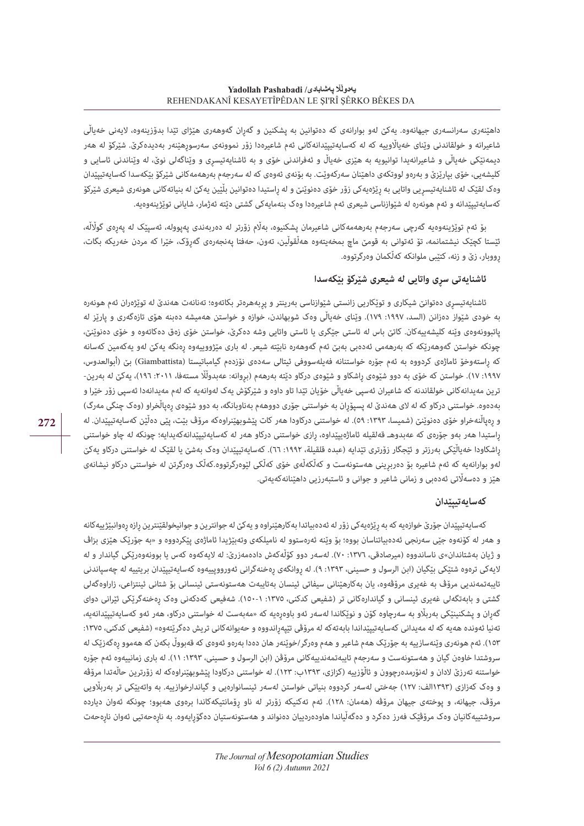داهێنەری سەرانسەری جیهانەوه. یەکێ لەو بوارانەی که دەتوانین به پشکنین و گەڕان گەوهەری هێژای تێدا بدۆزینەوه، الیەنی خەیاڵی شاعیرانه و خولقاندنی وێنای خەیااڵوییه که له کەسایەتیپێدانەکانی ئەم شاعیرەدا زۆر نموونەی سەرسوڕهێنەر بەدیدەکرێ. شێرکۆ له هەر دیمەنێکی خەیاڵی و شاعیرانەیدا توانیویه به هێزی خەیاڵ و ئەفراندنی خۆی و به ئاشنایەتیسڕی و وێناگەلی نوێ، له وێناندنی ئاسایی و کلیشەیی، خۆی بپارێزێ و بەرەو لووتکەی داهێنان سەرکەوێت. به بۆنەی ئەوەی که له سەرجەم بەرهەمەکانی شێرکۆ بێکەسدا کەسایەتیپێدان وەک لقێک له ئاشنایەتیسڕیی واتایی به ڕێژەیەکی زۆر خۆی دەنوێنێ و له ڕاستیدا دەتوانین بڵێین یەکێ له بنیاتەکانی هونەری شیعری شێرکۆ کەسایەتیپێدانه و ئەم هونەره له شێوازناسی شیعری ئەم شاعیرەدا وەک بنەمایەکی گشتی دێته ئەژمار، شایانی توێژینەوەیه.

بۆ ئەم توێژینەوەیه گەرچی سەرجەم بەرهەمەکانی شاعیرمان پشکنیوه، بەاڵم زۆرتر له دەربەندی پەپووله، ئەسپێک له پەڕەی گواڵڵه، ئێستا کچێک نیشتمانمه، تۆ ئەتوانی به قومێ ماچ بمخەیتەوه هەڵقوڵین، تەون، حەفتا پەنجەرەی گەڕۆک، خێرا که مردن خەریکه بگات، ڕووبار، زێ و زنه، کتێبی ملوانکه کەڵکمان وەرگرتووه.

#### **ئاشنایەتی سڕی واتایی له شیعری شێرکۆ بێکەسدا**

ئاشنایەتیسڕی دەتوانێ شیکاری و توێکاریی زانستی شێوازناسی بەرینتر و پڕبەهرەتر بکاتەوه؛ تەنانەت هەندێ له توێژەران ئەم هونەره به خودی شێواز دەزانن (السد، ١٩٩٧: ١٧٩). وێنای خەیاڵی وەک شوبهاندن، خوازه و خواستن هەمیشه دەبنه هۆی تازەگەری و پارێز له پاتبوونەوەی وێنه کلیشەییەکان. کاتێ باس له ئاستی جێگری یا ئاستی واتایی وشه دەکرێ، خواستن خۆی زەق دەکاتەوه و خۆی دەنوێنێ، چونکه خواستن گەوهەرێکه که بەرهەمی ئەدەبی بەبێ ئەم گەوهەره نابێته شیعر. له باری مێژووییەوه ڕەنگه یەکێ لەو یەکەمین کەسانه که ڕاستەوخۆ ئاماژەی کردووه به ئەم جۆره خواستنانه فەیلەسووفی ئیتالی سەدەی نۆزدەم گیامباتیستا )Giambattista )بێ )أبوالعدوس، ١٩٩٧: ١٧). خواستن که خۆی به دوو شێوەی راشکاو و شێوەی درکاو دێته بەرھەم (بروانه: عەبدوڵڵا مستەفا، ٢٠١١، ۲٠١١)، یەکێ له بەرین-ترین مەیدانەکانی خولقاندنه که شاعیران ئەسپی خەیاڵی خۆیان تێدا تاو داوه و شێرکۆش یەک لەوانەیە کە لەم مەیدانەدا ئەسپی زۆر خێرا و بهدەوه. خواستنی درکاو که له لای هەندێ له پسپۆڕان به خواستنی جۆری دووهەم بەناوبانگه، به دوو شێوەی رِەپاڵخراو (وەک چنگی مەرگ) و رەپاڵنەخراو خۆی دەنوێنێ (شمیسا، ١٣٩٣: ٥٩). له خواستنی درکاودا هەر کات پێشوبهێنراوەکه مرۆڤ بێت، پێی دەڵێن کەساپەتیپێدان. له راستیدا هەر بەو جۆرەی که عەبدوهـ قەلقیله ئاماژەیپێداوه، رازی خواستنی درکاو هەر له کەسایەتیپێدانەکەیدایه؛ چونکه له چاو خواستنی راشکاودا خەیاڵێکی بەرزتر و ئێجگار زۆرتری تێدایه (عبده قلقیلة، ١٩٩٢: ٦٦). کەسایەتیپێدان وەک بەشێ یا لقێک له خواستنی درکاو یەکێ لەو بوارانەیە کە ئەم شاعیرە بۆ دەربرینی ھەستونەست و کەڵکەڵەی خۆی کەڵکی لێوەرگرتووه.کەڵک وەرگرتن لە خواستنی درکاو نیشانەی هێز و دەسەاڵتی ئەدەبی و زمانی شاعیر و جوانی و ئاستبەرزیی داهێنانەکەیەتی.

#### **کەسایەتیپێدان**

کهسایهتیپێدان جۆرێ خوازەیه که به رێژەیەکی زۆر له ئەدەبیاتدا بەکارهێنراوه و یەکێ له جوانترین و جوانیخولقێنترین رازه رەوانبێژییەکانه و هەر له کۆنەوه جێی سەرنجی ئەدەبیاتناسان بووه؛ بۆ وێنه ئەرەستوو له نامیلکەی وتەبێژیدا ئاماژەی پێکردووه و »به جۆرێک هێزی بزاڤ و ژیان بەشتاندان»ی ناساندووه (میرصادقی، ١٣٧٦: ٧٠). لەسەر دوو کۆڵەکەش دادەمەزرێ: لە لایەکەوە کەس یا بوونەوەرێکی گیاندار و لە لایهکی ترەوه شتێکی بێگیان (ابن الرسول و حسینی، ١٣٩٣: ٩). له روانگەی رەخنەگرانی ئەورووپییەوه کەسایەتیپێدان بریتییه له چەسپاندنی تایبەتمەندیی مرۆڤ به غەیری مرۆڤەوه، یان بەکارهێنانی سیفاتی ئینسان بەتایبەت هەستونەستی ئینسانی بۆ شتانی ئینتزاعی، زاراوەگەلی گشتی و بابەتگەلی غەیری ئینسانی و گیاندارەکانی تر (شفیعی کدکنی، ١٣٧٥: ١-١٥٠). شەفیعی کەدکەنی وەک رەخنەگرێکی ئێرانی دوای گەران و پشکنینێکی بەربلّاو بە سەرچاوە کۆن و نوێکاندا لەسەر ئەو باوەرەیە کە «مەبەست لە خواستنی درکاو، ھەر ئەو کەسایەتیپێدانەیە، تەنیا ئەوندە ھەیە کە لە مەیدانی کەسایەتیپێداندا بابەتەکە لە مرۆڤی تێپەراندووە و حەیوانەکانی تریش دەگرێتەوە» (شفیعی کدکنی، ١٣٧٥: ١٥٣(. ئەم هونەری وێنەسازییه به جۆرێک هەم شاعیر و هەم وەرگر/خوێنەر هان دەدا بەرەو ئەوەی که قەبووڵ بکەن که هەموو ڕەگەزێک له سروشتدا خاوەن گیان و هەستونەست و سەرجەم تایبەتمەندییەکانی مرۆڤن (ابن الرسول و حسینی، ١٣٩٣: ١١). له باری زمانییەوه ئەم جۆره خواستنه تەرزێ لادان و لەنۆرمدەرچوون و ئاڵۆزییە (کزازی، ۱۳۹۳ب: ۱۲۳). له خواستنی درکاودا پێشوبهێنراوەکه له زۆرترین حاڵەتدا مرۆڤه و وەک کەزازی )١٣٩٣الف: ١٢٧( جەختی لەسەر کردووه بنیاتی خواستن لەسەر ئینسانوارەیی و گیاندارخوازییه. به واتەیێکی تر بەرباڵویی مرۆڤ، جیهانه، و پوختەی جیهان مرۆڤه (هەمان: ١٢٨). ئەم تەکنیکه زۆرتر له ناو رۆمانتیکەکاندا برەوی هەبوو؛ چونکه ئەوان دیارده سروشتییەکانیان وەک مرۆڤێک فەرز دەکرد و دەگەڵیاندا هاودەردییان دەنواند و هەستونەستیان دەگۆڕایەوه. به ناڕەحەتیی ئەوان ناڕەحەت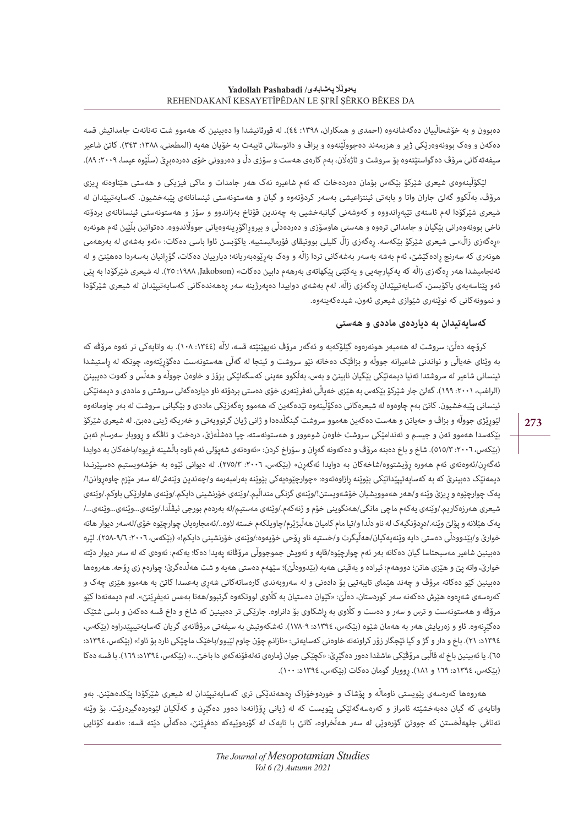دەبوون و به خۆشحاڵییان دەگەشانەوە (احمدی و همکاران، ١٣٩٨: ٤٤). له قورئانیشدا وا دەبینین که هەموو شت تەنانەت جامداتیش قسه دەکەن و وەک بوونەوەرێکی ژیر و هزرمەند دەجووڵێنەوە و بزاڤ و دانوستانی تایبەت به خۆیان هەیە (المطعنی، ١٣٨٨: ٣٤٣). کاتێ شاعیر سیفەتەکانی مرۆڤ دەگواستێتەوە بۆ سروشت و ئاژەڵان، بەم کارەی ھەست و سۆزی دڵ و دەروونی خۆی دەردەبرێ (سڵێوە عیسا، ٢٠٠٩؛ ٨٩).

لێکۆڵینەوەی شیعری شێرکۆ بێکەس بۆمان دەردەخات که ئەم شاعیره نەک هەر جامدات و ماکی فیزیکی و هەستی هێناوەته ڕیزی مرۆڤ، بەڵکوو گەلێ جاران واتا و بابەتی ئینتزاعیشی بەسەر کردۆتەوه و گیان و هەستونەستی ئینسانانەی پێبەخشیون. کەسایەتیپێدان له شیعری شێرکۆدا لەم ئاستەی تێپەڕاندووه و کەوشەنی گیانبەخشیی بە چەندین قۆناخ بەزاندوو و سۆز و هەستونەستی ئینسانانەی بردۆته ناخی بوونەوەرانی بێگیان و جامداتی ترەوه و هەستی هاوسۆزی و دەردەدڵی و بیروڕاگۆڕینەوەیانی جوواڵندووه. دەتوانین بڵێین ئەم هونەره «رەگەزی زاڵ»ـی شیعری شێرکۆ بێکەسە. رەگەزی زاڵ کلیلی بووتیقای فۆرمالیستییه. یاکۆبسن ئاوا باسی دەکات: «ئەو بەشەی لە بەرھەمی هونەری که سەرنج رادەکێشێ، ئەم بەشە بەسەر بەشەکانی تردا زاڵە و وەک بەرێوەبەریانە؛ دیارییان دەکات، گۆرانیان بەسەردا دەھێنێ و لە ئەنجامیشدا هەر رەگەزی زاڵە کە یەکپارچەیی و یەکێتی پێکھاتەی بەرھەم دابین دەکات» (Jakobson, ،1۹۸۸: ۲۵). لە شیعری شێرکۆدا بە پێی ئەو پێناسەیەی یاکۆبسن، کەسایەتیپێدان ڕەگەزی زاڵه. لەم بەشەی دواییدا دەپەرژینه سەر ڕەهەندەکانی کەسایەتیپێدان له شیعری شێرکۆدا و نموونەکانی که نوێنەری شێوازی شیعری ئەون، شیدەکەینەوه.

#### **کەسایەتیدان به دیاردەی ماددی و هەستی**

کرۆچه دەڵێ: سروشت له هەمبەر هونەرەوه گێلۆکەیه و ئەگەر مرۆڤ نەیهێنێته قسه، الڵه ):١٣٤٤ ١٠٨(. به واتایەکی تر ئەوه مرۆڤه که به وێنای خەیاڵی و نواندنی شاعیرانه جووڵه و بزاڤێک دەخاته نێو سروشت و ئینجا له گەڵی هەستونەست دەگۆڕێتەوه، چونکه له ڕاستیشدا ئینسانی شاعیر له سروشتدا تەنیا دیمەنێکی بێگیان نابینێ و بەس، بەڵکوو عەینی کەسگەلێکی بزۆز و خاوەن جووڵه و هەڵس و کەوت دەیبینێ )الراغب، :٢٠٠١ ١٩٩(. گەلێ جار شێرکۆ بێکەس به هێزی خەیاڵی ئەفرێنەری خۆی دەستی بردۆته ناو دیاردەگەلی سروشتی و ماددی و دیمەنێکی ئینسانی پێبەخشیون. کاتێ بەم چاوەوه له شیعرەکانی دەکۆڵینەوه تێدەگەین که هەموو ڕەگەزێکی ماددی و بێگیانی سروشت له بەر چاومانەوه لێوڕێژی جووڵه و بزاڤ و حەیاتن و هەست دەکەین هەموو سروشت گینگڵدەدا و ژانی ژیان گرتوویەتی و خەریکه ژینی دەبێ. له شیعری شێرکۆ بێکەسدا هەموو تەن و جیسم و ئەندامێکی سروشت خاوەن شوعوور و هەستونەسته، چیا دەشڵەژێ، درەخت و تاڤگه و ڕووبار سەرسام ئەبن (بێکەس، ٢٠٠٦: ٥١٥/٣). شاخ و باخ دەبنه مرۆڤ و دەکەونه گەران و سۆراخ کردن: «ئەوەتەی شەپۆلی ئەم ئاوە باڵشینه فریوه/باخەکان بە دوایدا ئەگەرن/ئەوەتەی ئەم ھەورە رۆیشتووە/شاخەکان بە دوایدا ئەگەرن» (بێکەس، ٢٠٠٦: ٢٧٥/٣). لە دیوانی ئێوە بە خۆشەویستیم دەسپێرنـدا دیمەنێک دەبینرێ که به کەسایەتیپێدانێکی بێوێنه رازاوەتەوە: «چوارچێوەیەکی بێوێنه بەرامبەرمه و/چەندین وێنەش/له سەر مێزم چاوەروانن!/ یەک چوارچێوە و ڕیزێ وێنه و/هەر هەموویشیان خۆشەویستن!/وێنەی گزنگی منداڵیم/.وێنەی خۆرنشینی دایکم/.وێنەی هاوارێکی باوکم/.وێنەی شیعری هەرزەکاریم./وێنەی یەکەم ماچی مانگی/هەنگوینی خۆم و ژنەکەم./وێنەی مەستیم/لە بەردەم بورجی ئیڤلْدا./وێنەی...وێنەی...وێنەی...) یەک هێالنه و پۆلێ وێنه/.دڕدۆنگیەک له ناو دڵدا و/تیا مام کامیان هەڵبژێرم/چاویلکەم خسته الوه/..ئەمجارەیان چوارچێوه خۆی/لەسەر دیوار هاته خوارێ و/بێدوودڵی دەستی دایه وێنەیەکیان/هەڵیگرت و/خستیه ناو ڕۆحی خۆیەوه/:وێنەی خۆرنشینی دایکم!« )بێکەس، :٢٠٠٦ ٢٥٨-٩/٦(. لێره دەبینین شاعیر مەسیحئاسا گیان دەکاته بەر ئەم چوارچێوه/قاپه و ئەویش جموجووڵی مرۆڤانه پەیدا دەکا؛ یەکەم: ئەوەی که له سەر دیوار دێته خوارێ، واته پێ و هێزی هاتن؛ دووههم: ئیراده و یەقینی هەیه (بێدوودڵێ)؛ سێههم دەستی هەیه و شت هەڵدەگرێ؛ چوارەم زی رِۆحه. هەروەها دەبینین کێو دەکاته مرۆڤ و چەند هێمای تایبەتیی بۆ دادەنی و له سەروبەندی کارەساتەکانی شەڕی بەعسدا کاتێ به هەموو هێزی چەک و کەرەسەی شەرەوە ھٽرش دەکەنە سەر کوردستان، دەڵێ: «کتوان دەستیان بە کڵوی لووتکەوە گرتبوو/ھەتا بەعس نەیفرٽنێ». لەم دیمەنەدا کٽو مرۆڤه و هەستونەست و ترس و سەر و دەست و کاڵوی به ڕاشکاوی بۆ دانراوه. جارێکی تر دەبینین که شاخ و داخ قسه دەکەن و باسی شتێک دەگێرنەوه. ئاو و زەریایش هەر به هەمان شێوه (بێکەس، ١٣٩٤ه: ١٧٨-٩). ئەشکەوتیش به سیفەتی مرۆڤانەی گریان کەسایەتیییێدراوه (بێکەس، ١٣٩٤د: ٢١). باخ و دار و گژ و گیا ئێجگار زۆر کراونەته خاوەنی کەسایەتی: «نازانم چۆن چاوم لێبوو/باخێک ماچێکی نارد بۆ ئاو!» (بێکەس، ١٣٩٤د: ٦٥). یا ئەبینین باخ له قاڵبی مرۆڤێکی عاشقدا دەور دەگێرێ: «کچێکی جوان ژمارەی تەلەفۆنەکەی دا باخێ...» (بێکەس، ١٣٩٤د: ١٦٩). با قسه دەکا (بێکەس، ١٣٩٤د: ١٦٩ و ١٨١). رووبار گومان دەکات (بێکەس، ١٣٩٤د: ١٠٠).

هەروەها کەرەسەی پێویستی ناوماڵه و پۆشاک و خوردوخۆراک ڕەهەندێکی تری کەسایەتیپێدان له شیعری شێرکۆدا پێکدەهێنن. بەو واتایەی که گیان دەبەخشێته ئامراز و کەرەسەگەلێکی پێویست که له ژیانی ڕۆژانەدا دەور دەگێڕن و کەڵکیان لێوەردەگیردرێت. بۆ وێنه تەنافی جلهەڵخستن که جووتێ گۆرەوێی له سەر هەڵخراوه، کاتێ با تایەک له گۆرەوێیەکه دەفڕێنێ، دەگەڵی دێته قسه: »ئەمه کۆتایی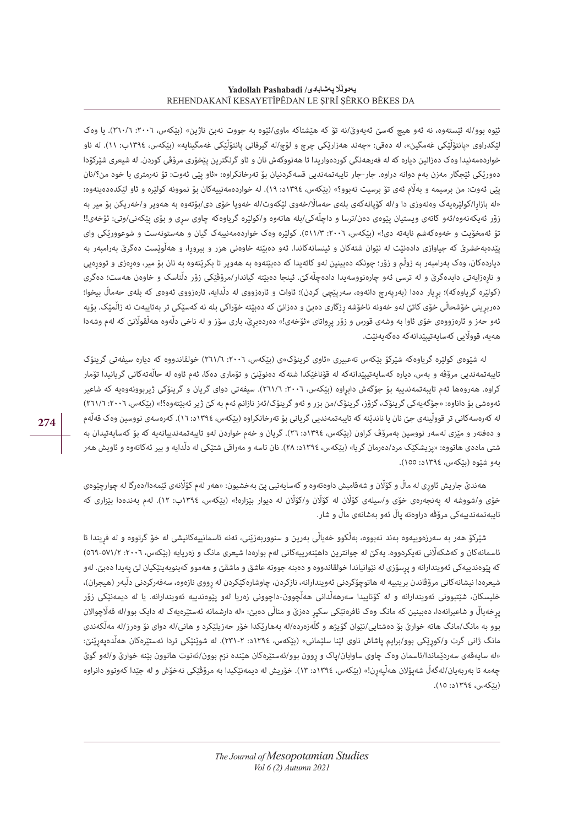ئێوه بوو/له ئێستەوه، نه ئەو هیچ کەسێ ئەیەوێ/نه تۆ کە هێشتاکه ماوی/ئێوه به جووت نەبێ ناژین» (بێکەس، ٢٠٠٦: ٢٦٠/٦). یا وەک لێکدراوی »پانتۆڵێکی غەمگین«، له دەقی: »چەند هەزارێکی چرچ و لۆچ/له گیرفانی پانتۆڵێکی غەمگینایه« )بێکەس، ١٣٩٤ب: ١١(. له ناو خواردەمەنیدا وەک دەزانین دیاره که له فەرهەنگی کوردەواریدا تا هەنووکەش نان و ئاو گرنگترین پێخۆری مرۆڤی کوردن. له شیعری شێرکۆدا دەورێکی ئێجگار مەزن بەم دوانه دراوه. جار-جار تایبەتمەندیی قسەکردنیان بۆ تەرخانکراوه: »ئاو پێی ئەوت: تۆ نەرمتری یا خود من؟/نان پێی ئەوت: من برسیمه و بەڵام ئەی تۆ برسیت نەبوو؟» (بێکەس، ١٣٩٤د: ١٩). له خواردەمەنییەکان بۆ نموونه کولێره و ئاو لێکدەدەینەوە: «له بازارا/کولێرەیەک وەنەوزی دا و/له کۆپانەکەی بلەی حەمالاً/خەوی لێکەوت/له خەویا خۆی دی/بۆتەوە بە ھەویر و/خەریکن بۆ میر به زۆر ئەیکەنەوه/ئەو کاتەی ویستیان پێوەی دەن/ترسا و داچڵەکی/بله هاتەوه و/کولێره گریاوەکه چاوی سڕی و بۆی پێکەنی/وتی: ئۆخەی!! تۆ ئەمخۆیت و خەوەکەشم نایەته دی!« )بێکەس، :٢٠٠٦ ٥١١/٣(. کولێره وەک خواردەمەنییەک گیان و هەستونەست و شوعوورێکی وای پێدەبەخشرێ که جیاوازی دادەنێت له نێوان شتەکان و ئینسانەکاندا. ئەو دەبێته خاوەنی هزر و بیروڕا، و هەڵوێست دەگرێ بەرامبەر به دیاردەکان، وەک بەرامبەر به زوڵم و زۆر؛ چونکه دەبینین لەو کاتەیدا که دەبیّتەوە به هەویر تا بکرێتەوە به نان بۆ میر، وەرەزی و توورەیی و ناڕەزایەتی دایدەگرێ و له ترسی ئەو چارەنووسەیدا دادەچڵەکێ. ئینجا دەبێته گیاندار/مرۆڤێکی زۆر دڵناسک و خاوەن هەست؛ دەگری (کولێره گریاوەکە)؛ بریار دەدا (بەرپەرچ دانەوه، سەرپێچی کردن)؛ ئاوات و ئارەزووی له دڵدایه، ئارەزووی ئەوەی کە بلەی حەماڵ بیخوا؛ دەربڕینی خۆشحاڵی خۆی کاتێ لەو خەونە ناخۆشه ڕزگاری دەبێ و دەزانێ که دەبێته خۆراکی بله نه کەسێکی تر بەتایبەت نه زاڵمێک. بۆیه ئەو حەز و ئارەزووەی خۆی ئاوا به وشەی قورس و زۆر پرواتای «ئۆخەی!» دەردەبرێ، باری سۆز و له ناخی دڵەوه هەڵقوڵانێ که لەم وشەدا هەیه، قوواڵیی کەسایەتیپێدانەکه دەگەیەنێت.

له شێوەی کولێره گریاوەکه شێرکۆ بێکەس تەعبیری »ئاوی گرینۆک«ی )بێکەس، :٢٠٠٦ ٢٦١/٦( خولقاندووه که دیاره سیفەتی گرینۆک تایبەتمەندیی مرۆڤه و بەس، دیاره کەسایەتیپێدانەکه له قۆناغێکدا شتەکه دەنوێنێ و تۆماری دەکا، ئەم ئاوه له حاڵەتەکانی گریانیدا تۆمار کراوه. هەروەها ئەم تایبەتمەندییه بۆ جۆگەش دابراوه (بێکەس، :٢٠٠٦، ٦٦١/٦). سیفەتی دوای گریان و گرینۆکی ژیربوونەویه کە شاعیر ئەوەشی بۆ داناوه: «جۆگەیەکی گرینۆک، گزۆز، گرینۆک/من بزر و ئەو گرینۆک/ئەز نازانم ئەم بە کێ ژیر ئەبێتەوه؟!» (بێکەس، ٢٠٠٦: ٢٦١/٦) له کەرەسەکانی تر قووڵینەی جێ نان یا ناندێنە کە تایبەتمەندىی گریانی بۆ تەرخانکراوە (بێکەس، ١٣٩٤د: ١٦). کەرەسەی نووسین وەک قەڵەم و دەفتەر و مێزی لەسەر نووسین بەمرۆڤ کراون )بێکەس، ١٣٩٤د: ٢٦(. گریان و خەم خواردن لەو تایبەتمەندییانەیه که بۆ کەسایەتیدان به شتی ماددی هاتووه: «پزیشکێک مرد/دەرمان گریا» (بێکەس، ١٣٩٤د: ٢٨). نان تاسه و مەراقی شتێکی له دڵدایه و بیر ئەکاتەوه و ئاویش هەر بەو شێوه )بێکەس، ١٣٩٤د: ١٥٥(.

هەندێ جاریش ئاوڕی له ماڵ و کۆاڵن و شەقامیش داوەتەوه و کەسایەتیی پێ بەخشیون: »هەر لەم کۆاڵنەی ئێمەدا/دەرگا له چوارچێوەی خۆی و/شووشه له پەنجەرەی خۆی و/سیلەی کۆاڵن له کۆاڵن و/کۆاڵن له دیوار بێزاره!« )بێکەس، ١٣٩٤ب: ١٢(. لەم بەندەدا بێزاری که تایبەتمەندییەکی مرۆڤه دراوەته پاڵ ئەو بەشانەی ماڵ و شار.

شێرکۆ هەر به سەرزەوییەوه بەند نەبووه، بەڵکوو خەیاڵی بەرین و سنووربەزێنی، تەنه ئاسمانییەکانیشی له خۆ گرتووه و له فڕیندا تا ئاسمانەکان و کەشکەلّانی تەیکردووه. یەکێ لە جوانترین داهێنەرییەکانی لەم بوارەدا شیعری مانگ و زەریایە (بێکەس، ٢٠٠٦، ٥٧١/٢-٥٦٩) که پێوەندییەکی ئەویندارانه و پرسۆزی له نێوانیاندا خولقاندووه و دەبنه جووته عاشق و ماشقێ و هەموو کەینوبەینێکیان لێ پەیدا دەبێ. لەو شیعرهدا نیشانەکانی مرۆڤاندن بریتییه له هاتوچۆکردنی ئەویندارانه، نازکردن، چاوشارەکێکردن له رووی نازەوه، سەفەرکردنی دڵبەر (هیجران)، خلیسکان، شێتبوونی ئەویندارانه و له کۆتاییدا سەرهەڵدانی هەڵچوون-داچوونی زەریا لەو پێوەندییه ئەویندارانه. یا له دیمەنێکی زۆر پرخەیاڵ و شاعیرانەدا، دەبینین کە مانگ وەک ئافرەتێکی سکپر دەزێ و مناڵی دەبێ: «له دارشمانه ئەستێرەیەک لە دایک بوو/له قەڵاچوالان بوو به مانگ/مانگ هاته خوارێ بۆ دەشتایی/نێوان گۆیژه و گڵەزەرده/له بەهارێکدا خۆر حەزیلێکرد و هانی/له دوای نۆ وەرز/له مەڵکەندی مانگ ژانی گرت و/کوڕێکی بوو/برایم پاشاش ناوی لێنا سلێمانی« )بێکەس، ١٣٩٤د: ٢٣١-٢(. له شوێنێکی تردا ئەستێرەکان هەڵدەپەڕێنێ: «له سایەقەی سەردێماندا/ئاسمان وەک چاوی ساوایان/پاک و روون بوو/ئەستێرەکان هێنده نزم بوون/ئەتوت هاتوون بێنه خوارێ و/لەو گوێ چەمه تا بەربەیان/لەگەڵ شەپۆالن هەڵپەڕن!« )بێکەس، ١٣٩٤د: ١٣(. خۆریش له دیمەنێکیدا به مرۆڤێکی نەخۆش و له جێدا کەوتوو دانراوه )بێکەس، ١٣٩٤د: ١٥(.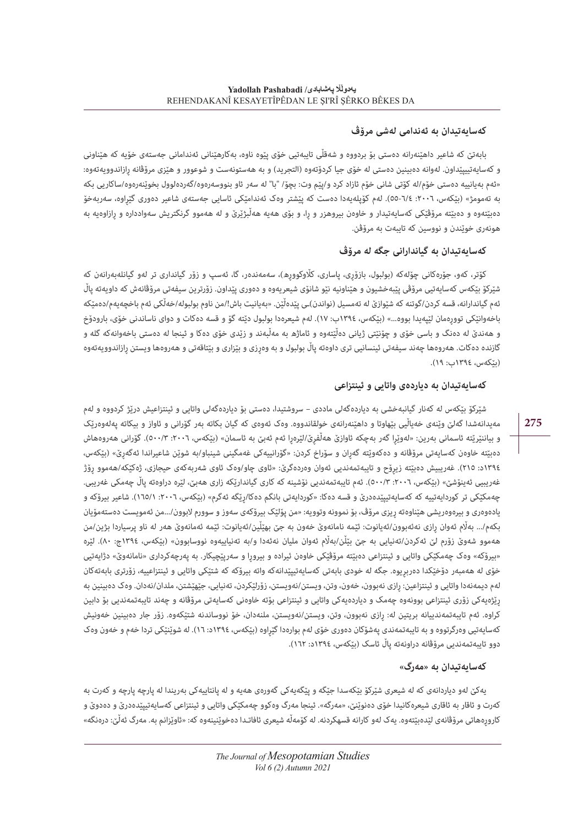## **کەسایەتیدان به ئەندامی لەشی مرۆڤ**

بابەتێ که شاعیر داهێنەرانه دەستی بۆ بردووه و شەقڵی تایبەتیی خۆی پێوه ناوه، بەکارهێنانی ئەندامانی جەستەی خۆیه که هێناونی و کەسایەتییپێداون. لەوانە دەبینین دەستی له خۆی جیا کردۆتەوه (التجرید) و به هەستونەست و شوعوور و هێزی مرۆڤانه رازاندوویەتەوه: »ئەم بەیانییه دەستی خۆم/له کۆتی شانی خۆم ئازاد کرد و/پێم وت: بچۆ/ "با" له سەر ئاو بنووسەرەوه/گەردەلوول بخوێنەرەوه/ساکاریی بکه به تەمومژ« )بێکەس، :٢٠٠٦ ٥٥-٦/٤(. لەم کۆپلەیەدا دەست که پێشتر وەک ئەندامێکی ئاسایی جەستەی شاعیر دەوری گێڕاوه، سەربەخۆ دەبێتەوە و دەبێتە مرۆڤێکی کەسایەتیدار و خاوەن بیروهزر و را، و بۆی هەیه هەڵبژێرێ و له هەموو گرنگتریش سەوادداره و رازاوەیه به هونەری خوێندن و نووسین که تایبەت به مرۆڤن.

## **کەسایەتیدان به گیاندارانی جگه له مرۆڤ**

کۆتر، کەو، جۆرەکانی چۆلەکه )بولبول، بازۆڕی، پاساری، کاڵوکووڕه(، سەمەندەر، گا، ئەسپ و زۆر گیانداری تر لەو گیانلەبەرانەن که شێرکۆ بێکەس کەسایەتیی مرۆڤی پێبەخشیون و هێناونیه نێو شانۆی شیعریەوه و دەوری پێداون. زۆرترین سیفەتی مرۆڤانەش که داویەته پاڵ ئەم گیاندارانه، قسه کردن/گوتنه که شێوازێ له تەمسیل (نواندن)ـی پێدەڵێن. «بەیانیت باش!/من ناوم بولبوله/خەلْکی ئەم باخچەیەم/دەمێکە باخەوانٽکی توورەمان لێپەیدا بووه...» (بێکەس، ١٣٩٤ب: ١٧). لەم شیعرەدا بولبول دێته گۆ و قسه دەکات و دوای ناساندنی خۆی، بارودۆخ و هەندێ له دەنگ و باسی خۆی و چۆنێتی ژیانی دەڵێتەوه و ئاماژه به مەڵبەند و زێدی خۆی دەکا و ئینجا له دەستی باخەوانەکه گلە و گازنده دەکات. هەروەها چەند سیفەتی ئینسانیی تری داوەته پاڵ بولبول و به وەڕزی و بێزاری و بێتاقەتی و هەروەها ویستن ڕازاندوویەتەوه (بٽکەس، ١٣٩٤ب: ١٩).

## **کەسایەتیدان به دیاردەی واتایی و ئینتزاعی**

شێرکۆ بێکەس له کەنار گیانبەخشی به دیاردەگەلی ماددی – سروشتیدا، دەستی بۆ دیاردەگەلی واتایی و ئینتزاعیش درێژ کردووه و لەم مەیدانەشدا گەلێ وێنەی خەیاڵیی بێهاوتا و داهێنەرانەی خولقاندووه. وەک ئەوەی که گیان بکاته بەر گۆرانی و ئاواز و بیکاته پەلەوەرێک و بیاننێرێته ئاسمانی بەرین: «لەوێرا گەر بەچکە ئاوازێ ھەڵفرێ/لێرەڕا ئەم ئەبێ بە ئاسمان» (بێکەس، ٢٠٠٦: ٥٠٠/٣). گۆرانی ھەروەھاش دەبێته خاوەن کەسایەتی مرۆڤانه و دەکەوێته گەڕان و سۆراخ کردن: »گۆرانییەکی غەمگینی شینباو/به شوێن شاعیراندا ئەگەڕێ« )بێکەس، ١٣٩٤د: ٢١٥). غەريبیش دەبێتە زیرۆح و تایبەتمەندیی ئەوان وەردەگرێ: «ئاوی چاو/وەک ئاوی شەربەکەی حیجازی، ژەکێکە/ھەموو رِۆژ غەریبیی ئەینۆشێ» (بێکەس، ٢٠٠٦: ٥٠٠/٣). ئەم تایبەتمەندیی نۆشینە کە کاری گیاندارێکە زاری ھەبێ، لێرە دراوەتە پاڵ چەمکی غەریبی. چەمکێکی تر کوردایەتییه که کەسایەتییێدەدرێ و قسه دەکا: «کوردایەتی بانگم دەکا/رێگه ئەگرم» (بێکەس، ٢٠٠٦: ١٦٥/١). شاعیر بیرۆکه و یادەوەری و بیرەوەریشی هێناوەتە ریزی مرۆڤ، بۆ نموونه وتوویه: «من پۆلێک بیرۆکەی سەوز و سوورم لابوون/...من ئەمویست دەستەمۆیان بکەم.../ بەاڵم ئەوان ڕازی نەئەبوون/ئەیانوت: ئێمه نامانەوێ خەون به جێ بهێڵین/ئەیانوت: ئێمه ئەمانەوێ هەر له ناو پرسیاردا بژین/من هەموو شەوێ زۆرم لێ ئەکردن/تەنیایی بە جێ بێڵن/بەڵام ئەوان ملیان نەئەدا و/بە تەنیاییەوە نووسابوون» (بێکەس، ١٣٩٤ج: ٨٠). لێره «بیرۆکه» وەک چەمکێکی واتایی و ئینتزاعی دەبێته مرۆڤێکی خاوەن ئیراده و بیرورا و سەرپێچیکار. به پەرچەکرداری «نامانەوێ» دژايەتیی خۆی له هەمبەر دۆخێکدا دەربڕیوه. جگه له خودی بابەتی کەسایەتیپێدانەکه واته بیرۆکه که شتێکی واتایی و ئینتزاعییه، زۆرتری بابەتەکان لەم دیمەنەدا واتایی و ئینتزاعین: رازی نەبوون، خەون، وتن، ویستن/نەویستن، زۆرلێکردن، تەنیایی، جێهێشتن، ملدان/نەدان. وەک دەبینین به ڕێژەیەکی زۆری ئینتزاعی بوونەوه چەمک و دیاردەیەکی واتایی و ئینتزاعی بۆته خاوەنی کەسایەتی مرۆڤانه و چەند تایبەتمەندیی بۆ دابین کراوه. ئەم تایبەتمەندییانه بریتین له: ڕازی نەبوون، وتن، ویستن/نەویستن، ملنەدان، خۆ نووساندنە شتێکەوه. زۆر جار دەبینین خەونیش کەسایەتیی وەرگرتووه و به تایبەتمەندی پەشۆکان دەوری خۆی لەم بوارەدا گێراوه (بێکەس، ١٣٩٤د: ١٦). له شوێنێکی تردا خەم و خەون وەک دوو تایبەتمەندیی مرۆڤانه دراونەته پاڵ ئاسک (بێکەس، ١٣٩٤د: ١٦٢).

### **کەسایەتیدان به »مەرگ«**

یەکێ لەو دیاردانەی که له شیعری شێرکۆ بێکەسدا جێگه و پێگەیەکی گەورەی هەیه و له پانتاییەکی بەریندا له پارچه پارچه و کەرت به کەرت و ئاقار به ئاقاری شیعرەکانیدا خۆی دەنوێنێ، «مەرگە». ئینجا مەرگ وەکوو چەمکێکی واتایی و ئینتزاعی کەسایەتیپێدەدرێ و دەدوێ و کاروڕەهاتی مرۆڤانەی لێدەبێتەوه. یەک لەو کارانه قسهکردنه. له کۆمەڵه شیعری ئافاتـدا دەخوێنینەوه که: »ئاوێزانم به. مەرگ ئەڵێ: درەنگه«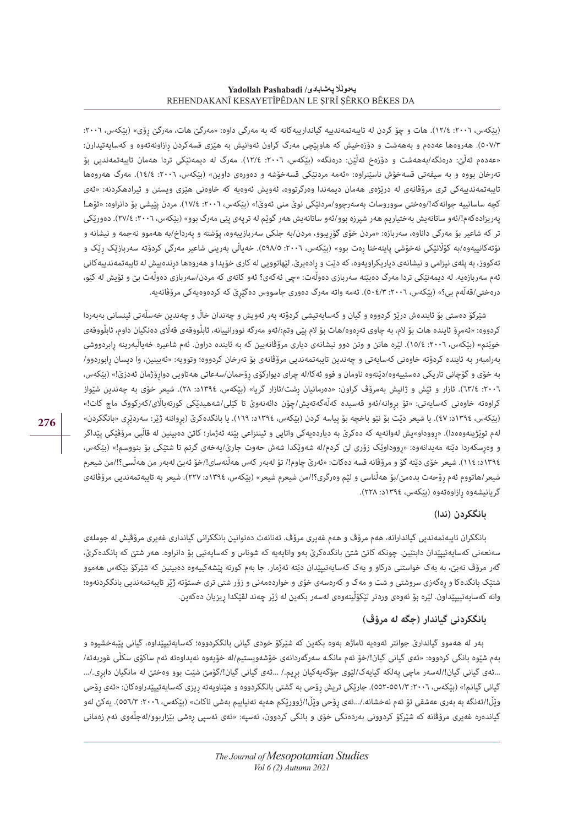(بێکەس، ٢٠٠٦: ١٢/٤). هات و چۆ کردن له تايبەتمەندييه گياندارييەکانه که به مەرگی داوه: «مەرگێ هات، مەرگێ رۆی» (بێکەس، ٢٠٠٦: ٥٠٧/٣(. هەروەها عەدەم و بەهەشت و دۆزەخیش که هاوپێچی مەرگ کراون ئەوانیش به هێزی قسەکردن ڕازاونەتەوه و کەسایەتیدارن: «عەدەم ئەڵێ: درەنگە/بەھەشت و دۆزەخ ئەڵێن: درەنگە» (بێکەس، ٢٠٠٦: ١٢/٤). مەرگ لە دیمەنێکی تردا ھەمان تایبەتمەندیی بۆ تەرخان بووه و به سیفەتی قسەخۆش ناسێنراوه: «ئەمە مردنێکی قسەخۆشە و دەورەی داوین» (بێکەس، ٢٠٠٦: ١٤/٤). مەرگ هەروەها تایبەتمەندییەکی تری مرۆڤانەی له درێژەی هەمان دیمەندا وەرگرتووه، ئەویش ئەوەیه که خاوەنی هێزی ویستن و ئیرادهکردنه: »ئەی کچه ساسانییه جوانهکه!/وەختی سووروسات بەسەرچوو/مردنێکی نوێ منی ئەوێ!» (بێکەس، ٢٠٠٦: ١٧/٤). مردن پێیشی بۆ دانراوه: «ئۆھـ! پەریزادەکەم!/ئەو ساتانەیش بەختیاریم ھەر شپرزە بوو/ئەو ساتانەیش ھەر گوێم لە ترپەی پێی مەرگ بوو» (بێکەس، ٢٠٠٦: ٢٧/٤). دەورێکی تر که شاعیر بۆ مەرگی داناوه، سەربازه: »مردن خۆی گۆڕیبوو، مردن/به جلکی سەربازییەوه، پۆشته و پەرداخ/به هەموو نەجمه و نیشانه و نۆتەکانییەوە/بە کۆڵانێکی نەخۆشی پایتەختا رەت بوو» (بێکەس، ٢٠٠٦، ٥٩٨/٥). خەیاڵی بەرینی شاعیر مەرگی کردۆته سەربازێک رێک و تەکووز، به پلەی نیزامی و نیشانەی دیاریکراویەوه، که دێت و رادەبرێ. لێهاتوویی له کاری خۆیدا و هەروەها درندەییش له تایبەتمەندییەکانی ئەم سەربازەیه. له دیمەنێکی تردا مەرگ دەبێته سەربازی دەوڵەت: »چی ئەکەی؟ ئەو کاتەی کە مردن/سەربازی دەوڵەت بێ و تۆیش لە کێو، درەختی/قەڵەم بی؟» (بێکەس، ٢٠٠٦: ٥٠٤/٣). ئەمە واتە مەرگ دەوری جاسووس دەگێرێ کە کردەوەیەکی مرۆڤانەیە.

شێرکۆ دەستی بۆ ئایندەش درێژ کردووه و گیان و کەسایەتیشی کردۆته بەر ئەویش و چەندان خاڵ و چەندین خەسڵەتی ئینسانی بەبەردا کردووه: »ئەمڕۆ ئاینده هات بۆ الم، به چاوی تەڕەوه/هات بۆ الم پێی وتم/:ئەو مەرگه نوورانییانه، ئابڵووقەی قەاڵی دەنگیان داوم، ئابڵووقەی خوێنم» (بێکەس، ٢٠٠٦، ١٥/٤). لێره هاتن و وتن دوو نیشانەی دیاری مرۆڤانەیین که به ئاینده دراون. ئەم شاعیره خەیاڵبەرینه رابردووشی بەرامبەر به ئاینده کردۆته خاوەنی کەسایەتی و چەندین تایبەتمەندیی مرۆڤانەی بۆ تەرخان کردووه؛ وتوویه: »ئەبینین، وا دیسان ڕابوردوو/ به خۆی و گۆچانی تاریکی دەستییەوە/دێتەوە ناومان و فوو ئەکا/لە چرای دیوارکۆی رۆحمان/سەعاتی ھەتاویی دوارۆژمان ئەدزێ!» (بێکەس، :٢٠٠٦ ٦٣/٤(. ئازار و ئێش و ژانیش بەمرۆڤ کراون: »دەرمانیان ڕشت/ئازار گریا« )بێکەس، ١٣٩٤د: ٢٨(. شیعر خۆی به چەندین شێواز کراوەتە خاوەنی کەسایەتی: «تۆ بروانە/ئەو قەسیدە کەڵەگەتەیش/چۆن دائەنەوێ تا کێلی/شەھیدێکی کورتەباڵای/کەرکووک ماچ کات!» (بێکەس، ١٣٩٤د: ٤٧). يا شیعر دێت بۆ نێو باخچه بۆ پیاسه کردن (بێکەس، ١٣٩٤د: ١٦٩). يا بانگدەکرێ (برواننه ژێر: سەردێری «بانگکردن» لەم توێژینەوەەدا). «رووداو»یش لەوانەیە کە دەکرێ بە دیاردەیەکی واتایی و ئینتزاعی بێتە ئەژمار؛ کاتێ دەبینین له قاڵبی مرۆڤێکی پێداگر و وەرسکەردا دێته مەیدانەوە: «رووداوێک زۆری لێ کردم/له شەوێکدا شەش حەوت جارێ/یەخەی گرتم تا شتێکی بۆ بنووسم!» (بێکەس، ١٣٩٤د: ١١٤(. شیعر خۆی دێته گۆ و مرۆڤانه قسه دەکات: »ئەرێ چاوم!/ تۆ لەبەر کەس هەڵنەسای!/خۆ ئەبێ لەبەر من هەڵسی؟!/من شیعرم شیعر/هاتووم ئەم ڕۆحەت بدەمێ/بۆ هەڵناسی و لێم وەرگری؟!/من شیعرم شیعر« )بێکەس، ١٣٩٤د: ٢٢٧(. شیعر به تایبەتمەندیی مرۆڤانەی گر یانیشەوه رازاوەتەوە (بێکەس، ١٣٩٤د: ٢٢٨).

#### **بانگکردن )ندا(**

بانگکران تایبەتمەندیی گیاندارانه، هەم مرۆڤ و هەم غەیری مرۆڤ. تەنانەت دەتوانین بانگکرانی گیانداری غەیری مرۆڤیش له جوملەی سەنعەتی کەسایەتیپێدان دابنێین. چونکه کاتێ شتێ بانگدەکرێ بەو واتایەیه که شوناس و کەسایەتیی بۆ دانراوه. هەر شتێ که بانگدەکرێ، گەر مرۆڤ نەبێ، به یەک خواستنی درکاو و یەک کەسایەتیپێدان دێته ئەژمار. جا بەم کورته پێشەکییەوه دەبینین که شێرکۆ بێکەس هەموو شتێک بانگدەکا و ڕەگەزی سروشتی و شت و مەک و کەرەسەی خۆی و خواردەمەنی و زۆر شتی تری خستۆته ژێر تایبەتمەندیی بانگکردنەوه؛ واته کەسایەتییپێداون. لێره بۆ ئەوەی وردتر لێکۆڵینەوەی لەسەر بکەین له ژێر چەند لقێکدا ڕیزیان دەکەین.

## **بانگکردنی گیاندار )جگه لە مرۆڤ(**

 بەر له هەموو گیاندارێ جوانتر ئەوەیه ئاماژه بەوه بکەین که شێرکۆ خودی گیانی بانگکردووه؛ کەسایەتیپێداوه، گیانی پێبەخشیوه و بەم شێوه بانگی کردووه: »ئەی گیانی گیان!/خۆ ئەم مانگـە سەرگەردانەی خۆشەویستیم/لە خۆیەوە نەیداوەتە ئەم ساکۆی سکڵی غوربەتە/ ...ئەی گیانی گیان!/لەسەر ماچی پەلکە گیایەک/لێوی جۆگەپەکیان بریم./ ...ئەی گیان./گۆمێ شێت بوو وەختێ لە مانگیان دابری./... گیانی گیانم!» (بێکەس، ٢٠٠٦: ٥٥٢-٥٥٢). جارێکی تریش رِۆحی به گشتی بانگکردووه و هێناویهته رِیزی کەسایەتیپێدراوەکان: «ئەی رِۆحی وێڵ!/تەنگە بە بەری عەشقی تۆ ئەم نەخشانە./...ئەی رۆحی وێڵ!/ژوورێکم ھەیە تەنیاییم بەشی ناکات» (بێکەس، ٢٠٠٦: ٥٥٦/٣). یەکێ لەو گیاندەره غەیری مرۆڤانه که شێرکۆ کردوونی بەردەنگی خۆی و بانگی کردوون، ئەسپه: »ئەی ئەسپی ڕەشی بێزاربوو/لەجڵەوی ئەم زەمانی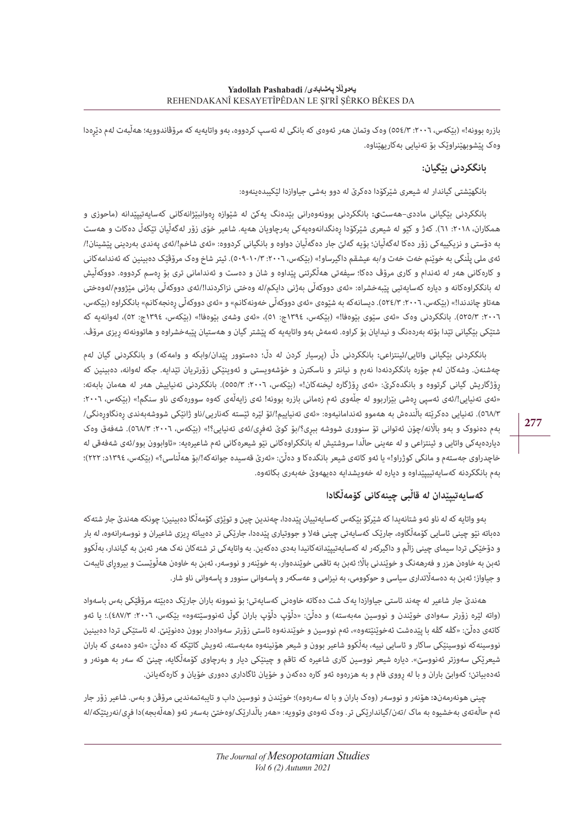بازره بوونه!» (بێکەس، ٢٠٠٦: ٥٥٤/٣) وەک وتمان هەر ئەوەی کە بانگی له ئەسپ کردووه، بەو واتايەيه کە مرۆڤاندوويه؛ هەڵبەت لەم دێرەدا وەک پێشوبهێنراوێک بۆ تەنیایی بەکاریهێناوه.

## **بانگکردنی بێگیان:**

بانگهێشتی گیاندار له شیعری شێرکۆدا دەکرێ له دوو بەشی جیاوازدا لێکیبدەینەوه:

بانگکردنی بێگیانی ماددی–هەست**ی:** بانگکردنی بوونەوەرانی بێدەنگ یەکێ له شێوازه ڕەوانبێژانەکانی کەسایەتیپێدانه )ماحوزی و همکاران، :٢٠١٨ ٦١(. کەژ و کێو له شیعری شێرکۆدا ڕەنگدانەوەیەکی بەرچاویان هەیه. شاعیر خۆی زۆر لەگەڵیان تێکەڵ دەکات و هەست به دۆستی و نزیکییەکی زۆر دەکا لەگەڵیان؛ بۆیە گەلێ جار دەگەڵیان دواوه و بانگیانی کردووه: «ئەی شاخم!/ئەی پەندی بەردینی پێشینان!/ ئەی ملی پڵنگی به خوێنم خەت خەت و/به عیشقم داگیرساو!« )بێکەس، :٢٠٠٦ ٥٠٩-١٠/٣(. ئیتر شاخ وەک مرۆڤێک دەبینین که ئەندامەکانی و کارەکانی هەر له ئەندام و کاری مرۆڤ دەکا؛ سیفەتی هەڵگرتنی پێداوه و شان و دەست و ئەندامانی تری بۆ ڕەسم کردووه. دووکەڵیش له بانگکراوەکانه و دیاره کەسایەتیی پێبەخشراه: »ئەی دووکەڵی بەژنی دایکم/لە وەختی نزاکردندا!/ئەی دووکەڵی بەژنی مێژووم/لەوەختی هەتاو چاندندا!» (بێکەس، ٢٠٠٦: ٥٢٤/٣). دیسانەکە بە شێوەی «ئەی دووکەڵی خەونەکانم» و «ئەی دووکەڵی رەنجەکانم» بانگکراوه (بێکەس، :٢٠٠٦ ٥٢٥/٣(. بانگکردنی وەک »ئەی سێوی بێوەفا!« )بێکەس، ١٣٩٤ج: ٥١(، »ئەی وشەی بێوەفا!« )بێکەس، ١٣٩٤ج: ٥٢(، لەوانەیه که شتێکی بێگیانی تێدا بۆته بەردەنگ و نیدایان بۆ کراوه. ئەمەش بەو واتایەیه که پێشتر گیان و هەستیان پێبەخشراوه و هاتوونەته ریزی مرۆڤ.

بانگکردنی بێگیانی واتایی**/**ئینتزاعی**:** بانگکردنی دڵ )پرسیار کردن له دڵ؛ دەستوور پێدان/وابکه و وامەکه( و بانگکردنی گیان لەم چەشنەن. وشەکان لەم جۆره بانگکردنەدا نەرم و نیانتر و ناسکترن و خۆشەویستی و ئەوینێکی زۆرتریان تێدایه. جگه لەوانە، دەبینین که ڕۆژگاریش گیانی گرتووه و بانگدەکرێ: »ئەی ڕۆژگارە لیخنەکان!« )بێکەس، :٢٠٠٦ ٥٥٥/٣(. بانگکردنی تەنیاییش هەر له هەمان بابەته: «ئەی تەنیایی!/ئەی ئەسپی رەشی بێزاربوو لە جڵەوی ئەم زەمانی بازرە بوونە! ئەی زایەڵەی کەوە سوورەکەی ناو سنگم!» (بێکەس، ٢٠٠٦: ٥٦٨/٣). تەنيابى دەكرێتە باڵندەش بە ھەموو ئەندامانيەوە: «ئەي تەنياييم!/تۆ لێرە ئێستە كەناربى/ناو ژانێكى شووشەبەندى رەنگاورەنگى/ بەم دەنووک و بەو بااڵنە/چۆن ئەتوانی تۆ سنووری شووشە ببڕی؟/بۆ کوێ ئەفڕی/ئەی تەنیایی؟!« )بێکەس، :٢٠٠٦ ٥٦٨/٣(. شەفەق وەک دیاردەیەکی واتایی و ئینتزاعی و له عەینی حاڵدا سروشتیش له بانگکراوەکانی نێو شیعرەکانی ئەم شاعیرەیه: «ئاوابوون بوو/ئەی شەفەقی له خاچدراوی جەستەم و مانگی کوژراو!» یا ئەو کاتەی شیعر بانگدەکا و دەڵێ: «ئەرێ قەسیدە جوانەکە!/بۆ ھەڵناسی؟» (بێکەس، ١٣٩٤د: ٢٢٢)؛ بەم بانگکردنه کەسایەتییپێداوه و دیاره له خەویشدایه دەیهەوێ خەبەری بکاتەوه.

## **کەسایەتیپێدان له قاڵبی چینەکانی کۆمەڵگادا**

بەو واتایه که له ناو ئەو شتانەیدا که شێرکۆ بێکەس کەسایەتییان پێدەدا، چەندین چین و توێژی کۆمەڵگا دەبینین؛ چونکه هەندێ جار شتەکه دەباته نێو چینی ئاسایی کۆمەڵگاوە، جارێک کەسایەتی چینی فەلا و جووتیاری پێدەدا، جارێکی تر دەیباته ریزی شاعیران و نووسەرانەوه، له بار و دۆخێکی تردا سیمای چینی زاڵم و داگیرکەر له کەسایەتیپێدانەکانیدا بەدی دەکەین. به واتایەکی تر شتەکان نەک هەر ئەبن به گیاندار، بەڵکوو ئەبن به خاوەن هزر و فەرهەنگ و خوێندنی باڵا؛ ئەبن به تاقمی خوێندەوار، به خوێنەر و نووسەر، ئەبن به خاوەن هەڵوێست و بیرورای تایبەت و جیاواز؛ ئەبن به دەسەاڵتداری سیاسی و حوکوومی، به نیزامی و عەسکەر و پاسەوانی سنوور و پاسەوانی ناو شار.

هەندێ جار شاعیر له چەند ئاستی جیاوازدا یەک شت دەکاته خاوەنی کەسایەتی؛ بۆ نموونه باران جارێک دەبێته مرۆڤێکی بەس باسەواد (واته لێره زۆرتر سەوادی خوێندن و نووسین مەبەستە) و دەڵێ: «دڵۆپ دڵۆپ باران گوڵ ئەنووسێتەوە» بێکەس، ٢٠٠٦: ٤٨٧/٣).؛ یا ئەو کاتەی دەڵێ: »گڤه گڤه با پێدەشت ئەخوێنێتەوه«، ئەم نووسین و خوێندنەوه ئاستی زۆرتر سەواددار بوون دەنوێنێ. له ئاستێکی تردا دەبینین نووسینەکه نووسینێکی ساکار و ئاسایی نییه، بەڵکوو شاعیر بوون و شیعر هۆنینەوه مەبەسته، ئەویش کاتێکه که دەڵێ: »ئەو دەمەی که باران شیعرێکی سەوزتر ئەنووسێ«. دیاره شیعر نووسین کاری شاعیره که تاقم و چینێکی دیار و بەرچاوی کۆمەڵگایه، چینێ که سەر به هونەر و ئەدەبیاتن؛ کەوابێ باران و با له ڕووی فام و به هزرەوه ئەو کاره دەکەن و خۆیان ئاگاداری دەوری خۆیان و کارەکەیانن.

چینی هونەرمەن**د:** هۆنەر و نووسەر (وەک باران و با له سەرەوه)؛ خوێندن و نووسین داب و تایبەتمەندیی مرۆڤن و بەس. شاعیر زۆر جار ئەم حاڵەتەی بەخشیوە بە ماک /تەن/گیاندارێکی تر. وەک ئەوەی وتوویە: «ھەر باڵدارێک/وەختێ بەسەر ئەو (ھەڵەبجە)دا فری/نەریتێکە/لە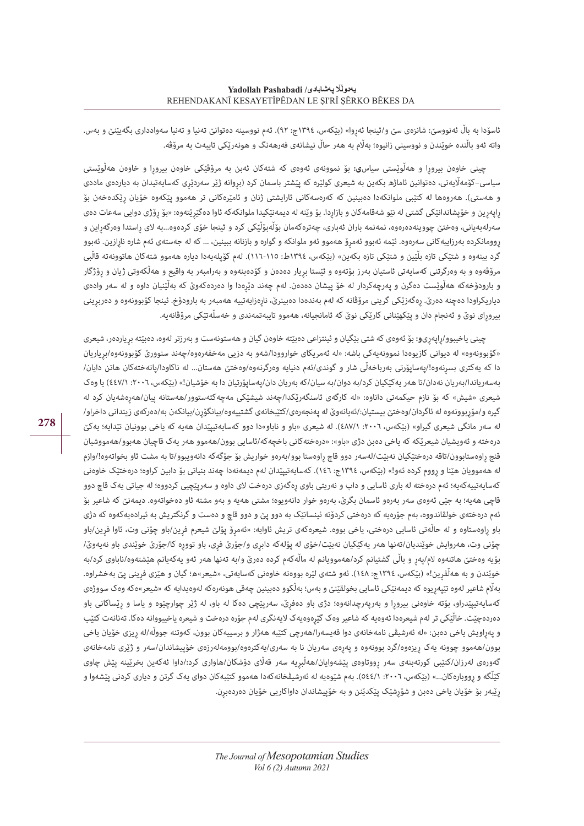ئاسۆدا به باڵ ئەنووسێ: شانزەی سێ و/ئینجا ئەروا» (بێکەس، ١٣٩٤ج: ٩٢). ئەم نووسینه دەتوانێ تەنیا و تەنیا سەوادداری بگەیێنێ و بەس. واته ئەو باڵنده خوێندن و نووسینی زانیوه؛ بەاڵم به هەر حاڵ نیشانەی فەرهەنگ و هونەرێکی تایبەت به مرۆڤه.

چینی خاوەن بیروڕا و هەڵوێستی سیاس**ی:** بۆ نموونەی ئەوەی که شتەکان ئەبن به مرۆڤێکی خاوەن بیروڕا و خاوەن هەڵوێستی سیاسی–کۆمەلّایەتی، دەتوانین ئاماژھ بکەین بە شیعری کولێره کە پێشتر باسمان کرد (بروانه ژێر سەردێری کەسایەتیدان بە دیاردەی ماددی و هەستی). هەروەها له کتێبی ملوانکەدا دەبینین که کەرەسەکانی ئارایشتی ژنان و ئامێرەکانی تر هەموو پێکەوه خۆیان رێکدەخەن بۆ ڕاپەڕین و خۆپشاندانێکی گشتی له نێو شەقامەکان و بازاڕدا. بۆ وێنه له دیمەنێکیدا ملوانکەکه ئاوا دەگێڕێتەوه: »بۆ ڕۆژی دوایی سەعات دەی سەرلەبەیانی، وەختێ چووینەدەرەوە، نمەنمە باران ئەباری، چەترەکەمان بۆڵەبۆڵێکی کرد و ئینجا خۆی کردەوه...به لای راستدا وەرگەراین و روومانکرده بەرزاییەکانی سەرەوه. ئێمه ئەبوو ئەمرۆ ھەموو ئەو ملوانکه و گواره و بازنانه ببینین، ... که له جەستەی ئەم شاره نارازین. ئەبوو گرد بینەوه و شتێکی تازه بڵێین و شتێکی تازه بکەین» (بێکەس، ١٣٩٤ط: ١١٥-١١٦). لەم کۆپلەیەدا دیاره هەموو شتەکان هاتوونەته قاڵبی مرۆڤەوه و به وەرگرتنی کەسایەتی ئاستیان بەرز بۆتەوه و ئێستا بریار دەدەن و کۆدەبنەوه و بەرامبەر بە واقیع و هەڵکەوتی ژیان و رۆژگار و بارودۆخەکه هەڵوێست دەگرن و پەرچەکردار له خۆ پیشان دەدەن. لەم چەند دێڕەدا وا دەردەکەوێ که بەڵێنیان داوه و لە سەر وادەی دیاریکراودا دەچنه دەرێ. رەگەزێکی گرینی مرۆڤانه که لەم بەندەدا دەبینرێ، نارەزایەتییه هەمبەر به بارودۆخ. ئینجا کۆبوونەوە و دەربرینی بیروڕای نوێ و ئەنجام دان و پێکهێنانی کارێکی نوێ که ئامانجیانه، هەموو تایبەتمەندی و خەسڵەتێکی مرۆڤانەیه.

چینی یاخیبوو/ڕاپەڕی**و:** بۆ ئەوەی که شتی بێگیان و ئینتزاعی دەبێته خاوەن گیان و هەستونەست و بەرزتر لەوه، دەبێته بڕیاردەر، شیعری »کۆبوونەوه« له دیوانی کازیوەدا نموونەیەکی باشه: »له ئەمریکای خواروودا/شەو به دزیی مەخفەرەوه/چەند سنوورێ کۆبوونەوه/بڕیاریان دا که یەکتری بسڕنەوه!/پەساپۆرتی بەرباخەڵی شار و گوندی/ئەم دنیایه وەرگرنەوه/وەختێ هەستان... له ناکاودا/پاتەختەکان هاتن دایان/ بەسەریاندا/بەریان نەدان/تا هەر یەکێکیان کرد/به دوان/به سیان/که بەریان دان/پەساپۆرتیان دا به خۆشیان!« )بێکەس، :٢٠٠٦ ٤٤٧/١( یا وەک شیعری »شیش« که بۆ نازم حیکمەتی داناوه: »له کارگەی ئاسنگەرێکدا/چەند شیشێکی مەچەکئەستوور/هەستانه پیان/هەڕەشەیان کرد له گیره و/مۆربوونەوه له ئاگردان/وەختێ بیستیان:/ئەیانەوێ له پەنجەرەی/کتێبخانەی گشتییەوه/بیانگۆرن/بیانکەن به/دەرکەی زیندانی داخراو/ له سەر مانگی شیعری گیراو» (بێکەس، ٢٠٠٦: ٤٨٧/١). له شیعری «باو و ناباو»دا دوو کەسایەتیپێدان هەیه که یاخی بوونیان تێدایه؛ یەکێ درەخته و ئەویشیان شیعرێکه که یاخی دەبن دژی »باو«: »درەختەکانی باخچەکه/ئاسایی بوون/هەموو هەر یەک قاچیان هەبوو/هەمووشیان قنج ڕاوەستابوون/تاقه درەختێکیان نەبێت/لەسەر دوو قاچ ڕاوەستا بوو/بەرەو خواریش بۆ جۆگەکه دانەویبوو/تا به مشت ئاو بخواتەوه!/وازم له هەموویان هێنا و رووم کرده ئەو!» (بێکەس، ١٣٩٤ج: ١٤٦). کەسایەتیپێدان لەم دیمەنەدا چەند بنیاتی بۆ دابین کراوه؛ درەختێک خاوەنی کهسایهتییهکهیه؛ ئهم درەخته له باری ئاسایی و داب و نەریتی باوی رەگەزی درەخت لای داوه و سەریێچیی کردووه؛ له جیاتی یەک قاچ دوو قاچی هەیه؛ به جێی ئەوەی سەر بەرەو ئاسمان بگرێ، بەرەو خوار دانەویوه؛ مشتی هەیه و بەو مشته ئاو دەخواتەوه. دیمەنێ که شاعیر بۆ ئەم درەختەی خولقاندووه، بەم جۆرەیه که درەختی کردۆته ئینسانێک به دوو پێ و دوو قاچ و دەست و گرنگتریش به ئیرادەیەکەوه که دژی باو راوەستاوه و له حالّەتی ئاسایی درەختی، یاخی بووه. شیعرەکەی تریش ئاوایه: «ئەمرۆ پۆلێ شیعرم فرین/باو چۆنی وت، ئاوا فرین/باو چۆنی وت، هەروایش خوێندیان/تەنها هەر یەکێکیان نەبێت/خۆی له پۆلەکە دابری و/جۆرێ فری، باو توورە کا/جۆرێ خوێندی باو نەیەوێ/ بۆیه وەختێ هاتنەوه لام/پەر و باڵی گشتیانم کرد/هەموویانم له ماڵەکەم کرده دەرێ و/به تەنها هەر ئەو یەکەیانم هێشتەوه/ناباوی کرد/به خوێندن و به هەڵفرین!» (بێکەس، ١٣٩٤ج: ١٤٨). ئەو شتەی لێره بووەته خاوەنی کەسایەتی، «شیعر»ه؛ گیان و هێزی فرینی پێ بەخشراوه. بەاڵم شاعیر لەوه تێپەڕیوه که دیمەنێکی ئاسایی بخولقێنێ و بەس؛ بەڵکوو دەبینین چەقی هونەرەکه لەوەیدایه که »شیعر«ەکه وەک سووژەی کەسایەتیپێدراو، بۆته خاوەنی بیرورا و بەرپەرچدانەوه؛ دژی باو دەفرێ، سەرپێچی دەکا له باو، له ژێر چوارچێوه و یاسا و رێساکانی باو دەردەچێت. خاڵێکی تر لەم شیعرەدا ئەوەیه که شاعیر وەک گێڕەوەیەک الیەنگری لەم جۆره درەخت و شیعره یاخیبووانه دەکا. تەنانەت کتێب و پەڕاویش یاخی دەبن: »له ئەرشیڤی نامەخانەی دوا قەیسەرا/هەرچی کتێبه هەژار و برسییەکان بوون، کەوتنه جووڵه/له ڕیزی خۆیان یاخی بوون/هەموو چوونه یەک ڕیزەوه/گرد بوونەوه و پەڕەی سەریان نا به سەری/یەکترەوه/بوومەلەرزەی خۆپیشاندان/سەر و ژێری نامەخانەی گەورەی لەرزان/کتێبی کورتەبنەی سەر رووتاوەی پێشەوایان/هەڵبریه سەر قەڵای دۆشکان/هاواری کرد:/داوا ئەکەین بخرێینه پێش چاوی کێڵگه و رووبارەکان...» (بێکەس، ٢٠٠٦: ٥٤٤/١). بەم شێوەیه له ئەرشیڤخانەکەدا هەموو کتێبەکان دوای یهک گرتن و دیاری کردنی پێشەوا و ڕێبەر بۆ خۆیان یاخی دەبن و شۆڕشێک پێکدێنن و به خۆپیشاندان داواکاریی خۆیان دەردەبڕن.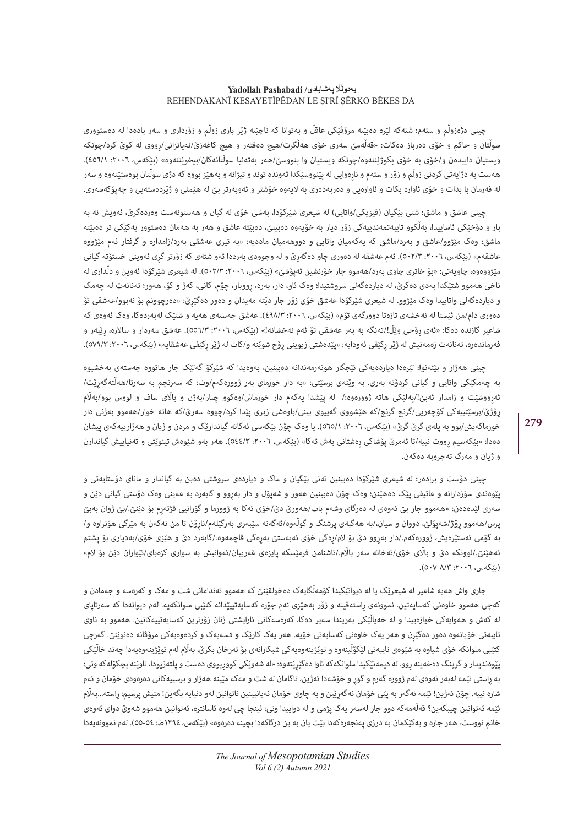چینی دژەزوڵم و ستەم**:** شتەکه لێره دەبێته مرۆڤێکی عاقڵ و بەتوانا که ناچێته ژێر باری زوڵم و زۆرداری و سەر بادەدا له دەستووری سوڵتان و حاکم و خۆی دەرباز دەکات: »قەڵەمێ سەری خۆی هەڵگرت/هیچ دەفتەر و هیچ کاغەزێ/نەیانزانی/ڕووی له کوێ کرد/چونکه ویستیان دایبدەن و/خۆی به خۆی بکوژێننەوه/چونکه ویستیان وا بنووسێ/هەر بەتەنیا سوڵتانەکان/بیخوێننەوه» (بێکەس، :٢٠٠٦، ١(٤٥٦). هەست به دژایەتی کردنی زوڵم و زۆر و ستەم و ناڕەوایی له پێنووسێکدا ئەونده توند و تیژانه و بەهێز بووه که دژی سوڵتان بوەستێتەوه و سەر له فەرمان با بدات و خۆی ئاواره بکات و ئاوارەیی و دەربەدەری به الیەوه خۆشتر و ئەوبەرتر بێ له هێمنی و ژێردەستەیی و چەپۆکەسەری.

چینی عاشق و ماشق: شتی بێگیان (فیزیکی/واتایی) له شیعری شێرکۆدا، بەشی خۆی له گیان و هەستونەست وەردەگرێ، ئەویش نه به بار و دۆخێکی ئاساییدا، بەڵکوو تایبەتمەندییەکی زۆر دیار به خۆیەوه دەبینێ، دەبێته عاشق و هەر به هەمان دەستوور یەکێکی تر دەبێته ماشق؛ وەک مێژوو/عاشق و بەرد/ماشق که یەکەمیان واتایی و دووهەمیان ماددیه: »به تیری عەشقی بەرد/زامداره و گرفتار ئەم مێژووه عاشقەم» (بێکەس، ٢٠٠٦: ٥٠٢/٣). ئەم عەشقە لە دەوری چاو دەگەرێ و له وجوودی بەرددا ئەو شتەی کە زۆرتر گری ئەوینی خستۆته گیانی مێژووەوه، چاویەتی: «بۆ خاتری چاوی بەرد/هەموو جار خۆرنشین ئەپۆشێ» (بێکەس، ۲۰۰٦، ۲۰۰۳). له شیعری شێرکۆدا ئەوین و دڵداری له ناخی هەموو شتێکدا بەدی دەکرێ، له دیاردەگەلی سروشتیدا؛ وەک ئاو، دار، بەرد، ڕووبار، چۆم، کانی، کەژ و کۆ، هەور؛ تەنانەت له چەمک و دیاردەگەلی واتاییدا وەک مێژوو. له شیعری شێرکۆدا عەشق خۆی زۆر جار دێته مەیدان و دەور دەگێڕێ: »دەرچوونم بۆ نەبوو/عەشقی تۆ دەوری دام/من ئێستا له نەخشەی تازەتا دوورگەی تۆم» (بێکەس، ٢٠٠٦: ٤٩٨/٣). عەشق جەستەی ھەیە و شتێک لەبەردەکا، وەک ئەوەی کە شاعیر گازنده دەکا: »ئەی ڕۆحی وێڵ!/تەنگه به بەر عەشقی تۆ ئەم نەخشانه!« )بێکەس، :٢٠٠٦ ٥٥٦/٣(. عەشق سەردار و ساالره، ڕێبەر و فەرماندەرە، تەنانەت زەمەنیش لە ژێر رکێفی ئەودایە: «پێدەشتی زیوینی رۆح شوێنه و/کات له ژێر رکێفی عەشقایه» (بێکەس، ٢٠٠٦: ٥٧٩/٣).

چینی هەژار و بێئەنو**ا:** لێرەدا دیاردەیەکی ئێجگار هونەرمەندانه دەبینین، بەوەیدا که شێرکۆ گەلێک جار هاتووه جەستەی بەخشیوه به چەمکێکی واتایی و گیانی کردۆته بەری. به وێنەی برسێتی: »به دار خورمای بەر ژوورەکەم/وت: که سەرنجم به سەرتا/هەڵئەگەڕێت/ ئەرووشێت و زامدار ئەبێ!/پەلێکی ھاتە ژوورەوە:/- لە پێشدا یەکەم دار خورماش/وەکوو چنار/بەژن و بالٰای ساف و لووس بوو/بەلٰام ڕۆژێ/برسێتییەکی کۆچەریی/گرنج گرنج/که هێشووی گەییوی بینی/باوەشی زبری پێدا کرد/چووه سەرێ/که هاته خوار/هەموو بەژنی دار خورماکەیش/بوو به پلەی گرێ گرێ» (بێکەس، ٢٠٠٦، ٥٦٥/١). یا وەک چۆن بێکەسی ئەکاته گیاندارێک و مردن و ژیان و هەژارییەکەی پیشان دەدا: »بێکەسیم ڕووت نییه/تا ئەمرێ پۆشاکی ڕەشتانی بەش ئەکا« )بێکەس، :٢٠٠٦ ٥٤٤/٣(. هەر بەو شێوەش تینوێتی و تەنیاییش گیاندارن و ژیان و مەرگ تەجروبه دەکەن.

چینی دۆست و برادەر: له شیعری شێرکۆدا دەبینین تەنی بێگیان و ماک و دیاردەی سروشتی دەبن به گیاندار و مانای دۆستایەتی و پێوەندی سۆزدارانه و عاتیفی پێک دەهێنن؛ وەک چۆن دەبینین هەور و شەپۆل و دار بەڕوو و گابەرد به عەینی وەک دۆستی گیانی دێن و سەری لێدەدەن: «ھەموو جار بێ ئەوەی لە دەرگای وشەم بات/ھەورێ دێ/خۆی ئەکا بە ژوورما و گۆرانیی قژتەرم بۆ دێنێ./بێ ژوان بەبێ پرس/ھەموو ڕۆژ/شەپۆلێ، دووان و سیان/،بە ھەگبەی پرشنگ و گوڵەوە/ئەگەنە سێبەری بەرگێلەم/ناڕۆن تا من نەکەن بە مێرگی ھۆنراوە و/ بە گۆمی ئەستێرەیش، ژوورەکەم/.دار بەڕوو دێ بۆ الم/ڕەگی خۆی ئەبەستێ بەڕەگی قاچمەوە/.گابەرد دێ و ھێزی خۆی/بەدیاری بۆ پشتم ئەھێنێ/.لووتکە دێ و بااڵی خۆی/ئەخاتە سەر بااڵم/.ئاشنامن فرمێسکە پایزەی غەریبان/ئەوانیش بە سواری کزەبای/ئێواران دێن بۆ الم« (بٽکەس، ٢٠٠٦: ٥٠٧-٥٠٧).

جاری واش هەیه شاعیر له شیعرێک یا له دیوانێکیدا کۆمەڵگایەک دەخولقێنێ که هەموو ئەندامانی شت و مەک و کەرەسه و جەمادن و کەچی هەموو خاوەنی کەسایەتین. نموونەی ڕاستەقینه و زۆر بەهێزی ئەم جۆره کەسایەتیپێدانه کتێبی ملوانکەیه. لەم دیوانەدا که سەرتاپای له کەش و هەوایەکی خوازەییدا و له خەیاڵێکی بەریندا سەیر دەکا، کەرەسەکانی ئارایشتی ژنان زۆرترین کەسایەتییەکانین. هەموو به ناوی تایبەتی خۆیانەوه دەور دەگێڕن و هەر یەک خاوەنی کەسایەتی خۆیه. هەر یەک کارێک و قسەیەک و کردەوەیەکی مرۆڤانه دەنوێنێ. گەرچی کتێبی ملوانکه خۆی شیاوه به شێوەی تایبەتی لێکۆڵینەوە و توێژینەوەیەکی شیکارانەی بۆ تەرخان بکرێ، بەڵام لەم توێژینەوەیەدا چەند خاڵێکی پێوەندیدار و گرینگ دەخەینە روو. له دیمەنێکیدا ملوانکەکه ئاوا دەگێرێتەوە: «له شەوێکی کووربووی دەست و پلتەزیودا، ئاوێنه بچکۆلەکە وتی: به راستی ئێمه لەبەر ئەوەی لەم ژووره گەرم و گورٍ و خۆشەدا ئەژین، ئاگامان له شت و مەکە مێینه هەژار و برسییەکانی دەرەوەی خۆمان و ئەم شاره نییه. چۆن ئەژین! ئێمه ئەگەر بە پێی خۆمان نەگەرێین و بە چاوی خۆمان نەیانبینین ناتوانین لەو دنیایە بگەین! منیش پرسیم: راسته...بەڵام ئێمه ئەتوانین چیبکەین؟ قەڵەمەکە دوو جار لەسەر یەک پژمی و له دواییدا وتی: ئینجا چی لەوە ئاسانتره، ئەتوانین هەموو شەوێ دوای ئەوەی خانم نووست، هەر جاره و یەکێکمان به درزی پەنجەرەکەدا بێت یان به بن درگاکەدا بچینه دەرەوه« )بێکەس، ١٣٩٤ط: ٥٥-٥٤(. لەم نموونەیەدا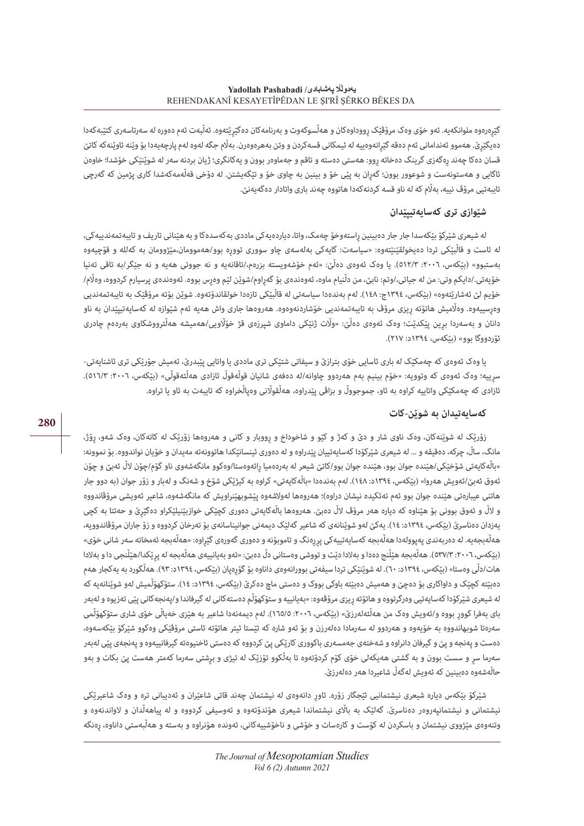گێڕەرەوە ملوانکەیه. ئەو خۆی وەک مرۆڤێک ڕووداوەکان و هەڵسوکەوت و بەرنامەکان دەگێڕێتەوه. ئەڵبەت ئەم دەوره له سەرتاسەری کتێبەکەدا دهیگێرێ. هەموو ئەندامانی ئەم دەقە گێرانەوەییە لە ئیمکانی قسەکردن و وتن بەھرەوەرن. بەڵام جگە لەوە لەم پارچەیەدا بۆ وێنە ئاوێنەکە کاتێ قسان دەکا چەند ڕەگەزی گرینگ دەخاته ڕوو: هەستی دەسته و تاقم و جەماوەر بوون و یەکانگری؛ ژیان بردنه سەر له شوێنێکی خۆشدا؛ خاوەن ئاگایی و هەستونەست و شوعوور بوون؛ گەڕان به پێی خۆ و بینین به چاوی خۆ و تێگەیشتن. له دۆخی قەڵەمەکەشدا کاری پژمین که گەرچی تایبەتیی مرۆڤ نییه، بەلّام کە لە ناو قسه کردنەکەدا ھاتووه چەند باری واتادار دەگەیەنێ.

## **شێوازی تری کەسایەتیپێدان**

له شیعری شێرکۆ بێکەسدا جار جار دەبینین ڕاستەوخۆ چەمک، واتا، دیاردەیەکی ماددی بەکەسدەکا و به هێنانی تاریف و تایبەتمەندییەکی، له ئاست و قاڵبێکی تردا دەیخولقێنێتەوه: »سیاسەت: گایەکی بەلەسەی چاو سووری تووڕە بوو/ھەموومان،مێژوومان بە کەللە و قۆچیەوە بەستبوو» (بێکەس، ٢٠٠٦: ٥١٢/٣). یا وەک ئەوەی دەڵێ: «ئەم خۆشەویسته بزرەم،/تاقانەیه و نه جووتی هەیه و نه جێگر/به تاقی تەنیا خۆیەتی./دایکم وتی: من له جیاتی،/وتم: نابێ، من دڵنیام ماوه، ئەوەندەی بۆ گەراوم/شوێن لێم وەرس بووه. ئەوەندەی پرسیارم کردووه، وەڵام/ خۆیم لێ ئەشارێتەوە» (بێکەس، ١٣٩٤ج: ١٤٨). لەم بەندەدا سیاسەتی لە قاڵبێکی تازەدا خولقاندۆتەوە. شوێن بۆتە مرۆڤێک بە تایبەتمەندیی وەڕسییەوه. وەاڵمیش هاتۆته ڕیزی مرۆڤ به تایبەتمەندیی خۆشاردنەوەوه. هەروەها جاری واش هەیه ئەم شێوازه له کەسایەتیپێدان به ناو دانان و بەسەردا بڕین پێکدێت؛ وەک ئەوەی دەڵێ: »واڵت ژنێکی داماوی شپرزەی قژ خۆاڵویی/هەمیشه هەڵترووشکاوی بەردەم چادری ئۆردووگا بوو« )بێکەس، ١٣٩٤د: ٢١٧(.

یا وەک ئەوەی کە چەمکێک لە باری ئاسایی خۆی بترازێ و سیفاتی شتێکی تری ماددی یا واتایی پێبدرێ، ئەمیش جۆرێکی تری ئاشنایەتی-سرییه؛ وەک ئەوەی کە وتوویه: «خۆم بینیم بەم ھەردوو چاوانە/لە دەفەی شانیان قوڵەقوڵ ئازادی ھەڵئەقوڵی» (بێکەس، ٢٠٠٦: ٥١٦/٣). ئازادی که چەمکێکی واتاییه کراوه به ئاو، جموجووڵ و بزاڤی پێدراوه، هەڵقواڵنی وەپاڵخراوه که تایبەت به ئاو یا تراوه.

## **کەسایەتیدان به شوێن-کات**

زۆرێک له شوێنەکان، وەک ناوی شار و دێ و کەژ و کێو و شاخوداخ و رٍووبار و کانی و هەروەها زۆرێک له کاتەکان، وەک شەو، رِۆژ، مانگ، ساڵ، چرکه، دەقیقه و ... له شیعری شێرکۆدا کەسایەتییان پێدراوه و له دەوری ئینسانێکدا هاتوونەته مەیدان و خۆیان نواندووه. بۆ نموونه: »باڵەکایەتی شۆخێکی/هێنده جوان بوو، هێنده جوان بوو/کاتێ شیعر له بەردەمیا ڕائەوەستا/وەکوو مانگەشەوی ناو گۆم/چۆن الڵ ئەبێ و چۆن ئەوق ئەبێ/ئەویش ھەروا» (بێکەس، ١٣٩٤د: ١٤٨). لەم بەندەدا «باڵەکایەتی» کراوه بە کیژێکی شۆخ و شەنگ و لەبار و زۆر جوان (بە دوو جار هاتنی عیبارەتی هێنده جوان بوو ئەم تەئکیده نیشان دراوه(؛ هەروەها لەوالشەوه پێشوبهێنراویش که مانگەشەوه، شاعیر ئەویشی مرۆڤاندووه و الڵ و ئەوق بوونی بۆ هێناوه که دیاره هەر مرۆڤ الڵ دەبێ. هەروەها باڵەکایەتی دەوری کچێکی خوازبێنیلێکراو دەگێڕێ و حەتتا بە کچی یهزدان دەناسری (بێکەس، ١٣٩٤د: ١٤). یەکێ لەو شوێنانەی کە شاعیر گەلێک دیمەنی جوانیناسانەی بۆ تەرخان کردووه و زۆ جاران مرۆڤاندوویه، هەڵەبجەیە. له دەربەندی پەپوولەدا ھەڵەبجە کەسایەتییەکی پررەنگ و تاموبۆنە و دەوری گەورەی گێراوە: «ھەڵەبجە ئەمخاتە *سە*ر شانی خۆی» )بێکەس، :٢٠٠٦ ٥٣٧/٣(. هەڵەبجه هێڵنج دەدا و بەالدا دێت و تووشی وەستانی دڵ دەبێ: »ئەو بەیانییەی هەڵەبجه له پڕێکدا/هێڵنجی دا و بەالدا هات/دڵی وەستا» (بێکەس، ١٣٩٤د: ٦٠). له شوێنێکی تردا سیفەتی بوورانەوەی داناوه بۆ گۆرەپان (بێکەس، ١٣٩٤د: ٩٣). هەڵگورد به یەکجار هەم دهبێته کچێک و داواکاری بۆ دەچێ و هەمیش دەبێته باوکی بووک و دەستی ماچ دەکرێ (بێکەس، ١٣٩٤د: ١٤). ستۆکهۆڵمیش لەو شوێنانەیه که له شیعری شێرکۆدا کەسایەتیی وەرگرتووه و هاتۆته ڕیزی مرۆڤەوه: »بەیانییه و ستۆکهۆڵم دەستەکانی له گیرفاندا و/پەنجەکانی پێی تەزیوه و لەبەر بای بەفرا کووڕ بووه و/ئەویش وەک من هەڵئەلەرزێ« )بێکەس، :٢٠٠٦ ١٦٥/٥(. لەم دیمەنەدا شاعیر به هێزی خەیاڵی خۆی شاری ستۆکهۆڵمی سەرەتا شوبهاندووه به خۆیەوه و هەردوو له سەرمادا دەلەرزن و بۆ ئەو شاره که ئێستا ئیتر هاتۆته ئاستی مرۆڤێکی وەکوو شێرکۆ بێکەسەوه، دەست و پەنجه و پێ و گیرفان دانراوه و شەختەی جەمسەری باکووری کارێکی پێ کردووه که دەستی ئاخنیوەته گیرفانییەوه و پەنجەی پێی لەبەر سەرما سڕ و سست بوون و به گشتی هەیکەلی خۆی کۆم کردۆتەوه تا بەڵکوو تۆزێک له تیژی و بڕشتی سەرما کەمتر هەست پێ بکات و بەو حاڵەشەوه دەبینین که ئەویش لەگەڵ شاعیردا هەر دەلەرزێ.

شێرکۆ بێکەس دیاره شیعری نیشتمانیی ئێجگار زۆره. ئاوڕ دانەوەی له نیشتمان چەند قاتی شاعێران و ئەدیبانی تره و وەک شاعیرێکی نیشتمانی و نیشتمانپەروەر دەناسرێ. گەلێک به بااڵی نیشتماندا شیعری هۆندۆتەوه و تەوسیفی کردووه و له پیاهەڵدان و الواندنەوه و وتنەوەی مێژووی نیشتمان و باسکردن له کۆست و کارەسات و خۆشی و ناخۆشییەکانی، ئەونده هۆنراوه و بەسته و هەڵبەستی داناوه، ڕەنگه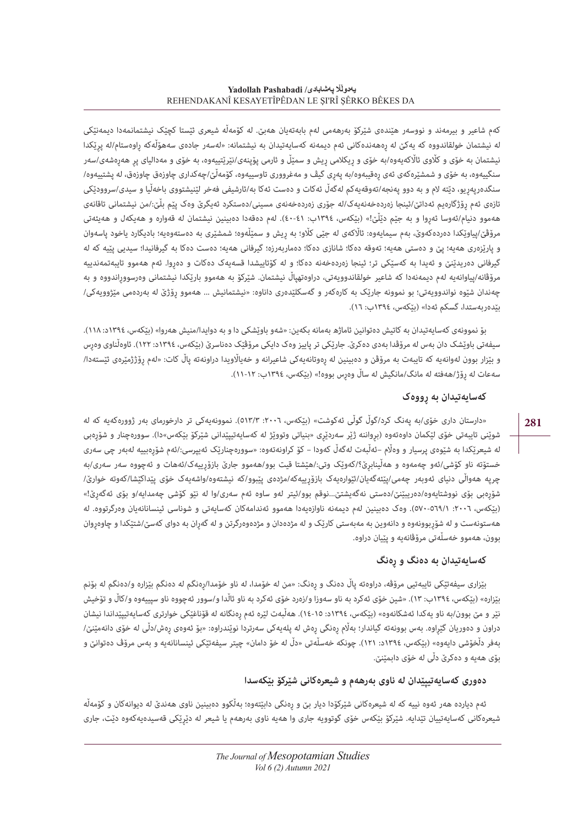کەم شاعیر و بیرمەند و نووسەر هێندەی شێرکۆ بەرھەمی لەم بابەتەیان ھەبێ. لە کۆمەڵە شیعری ئێستا کچێک نیشتمانمەدا دیمەنێکی له نیشتمان خولقاندووه که یەکێ له رەهەندەکانی ئەم دیمەنه کەسایەتیدان به نیشتمانه: «لەسەر جادەی سەهۆڵەکە راوەستام/له پرێکدا نیشتمان به خۆی و کلّاوی ئالّاکەیەوە/بە خۆی و رِیکلامی رِیش و سمێڵ و ئارمی پۆپنەی/نێرێتییەوه، به خۆی و مەدالیای پر هەرەشەی/سەر سنگییەوه، به خۆی و شمشێرەکەی ئەی ڕەقیبەوه/به پەڕی گیڤ و مەغرووری تاوسییەوه، کۆمەڵێ/چەکداری چاوزەق چاوزەق، له پشتییەوه/ سنگدەرپەڕیو، دێته الم و به دوو پەنجه/تەوقەیەکم لەگەڵ ئەکات و دەست ئەکا به/ئارشیفی فەخر لێنیشتووی باخەڵیا و سیدی/سروودێکی تازەی ئەم ڕۆژگارەیم ئەداتێ/ئینجا زەردەخەنەیەک/له جۆری زەردەخەنەی مسینی/دەستکرد ئەیگرێ وەک پێم بڵێ/:من نیشتمانی تاقانەی هەموو دنیام/ئەوسا ئەڕوا و به جێم دێڵێ!« )بێکەس، ١٣٩٤ب: ٤٠-٤١(. لەم دەقەدا دەبینین نیشتمان له قەواره و هەیکەل و هەیئەتی مرۆڤێ/پیاوێکدا دەردەکەوێ، بەم سیمایەوە: ئاڵاکەی لە جێی کڵو؛ بە ریش و سمێڵەوە؛ شمشێری بە دەستەوەیه؛ بادیگارد یاخود پاسەوان و پارێزەری هەیه؛ پێ و دەستی هەیه؛ تەوقه دەکا؛ شانازی دەکا؛ دەماربەرزه؛ گیرفانی هەیه؛ دەست دەکا به گیرفانیدا؛ سیدیی پێیه که له گیرفانی دەریدێنێ و ئەیدا به کەسێکی تر؛ ئینجا زەردەخەنه دەکا؛ و له کۆتاییشدا قسەیەک دەکات و دەڕوا. ئەم هەموو تایبەتمەندییه مرۆڤانه/پیاوانەیه لەم دیمەنەدا که شاعیر خولقاندوویەتی، دراوەتهپاڵ نیشتمان. شێرکۆ به هەموو بارێکدا نیشتمانی وەرسووڕاندووه و به چەندان شێوه نواندوویەتی؛ بو نموونه جارێک به کارەکەر و گەسکلێدەری داناوه: «نیشتمانیش ... هەموو رِۆژێ له بەردەمی مێژوویەکی/ بێدەربەستدا، گسکم ئەدا« )بێکەس، ١٣٩٤ب: ١٦(.

بۆ نموونەی کەسایەتیدان به کاتیش دەتوانین ئاماژه بەمانه بکەین: »شەو باوێشکی دا و به دوایدا/منیش هەروا« )بێکەس، ١٣٩٤د: ١١٨(. سیفەتی باوێشک دان بەس لە مرۆڤدا بەدی دەکرێ. جارێکی تر پاییز وەک دایکی مرۆڤێک دەناسرێ (بێکەس، ١٣٩٤د: ١٢٢). ئاوەڵناوی وەرس و بێزار بوون لەوانەیە کە تایبەت بە مرۆڤن و دەبینین لە رەوتانەیەکی شاعیرانە و خەیالّاویدا دراونەتە پاڵ کات: «لەم رۆژژمێرەی ئێستەدا/ سەعات له ڕۆژ/هەفته له مانگ/مانگیش له ساڵ وەڕس بووه!« )بێکەس، ١٣٩٤ب: ١١-١٢(.

## **کەسایەتیدان به ڕووەک**

»دارستان داری خۆی/به پەنگ کرد/گوڵ گوڵی ئەکوشت« )بێکەس، :٢٠٠٦ ٥١٣/٣(. نموونەیەکی تر دارخورمای بەر ژوورەکەیه که له شوێنی تایبەتی خۆی لێکمان داوەتەوە (برواننه ژێر سەردێری «بنیاتی وتووێژ له کەسایەتیپێدانی شێرکۆ بێکەس»دا). سوورەچنار و شۆرەبی له شیعرێکدا به شێوەی پرسیار و وەاڵم –ئەڵبەت لەگەڵ کەودا – کۆ کراونەتەوه: »سوورەچنارێک ئەیپرسی/:ئەم شۆڕەبییه لەبەر چی سەری خستۆته ناو کۆشی/ئەو چەمەوه و هەڵینابڕێ؟/کەوێک وتی/:هێشتا قیت بوو/هەموو جارێ بازۆڕییەک/ئەهات و ئەچووه سەر سەری/به چرپه هەواڵی دنیای ئەوبەر چەمی/پێئەگەیان/ئێوارەیەک بازۆرییەکە/مژدەی پێبوو/کە نیشتەوە/واشەیەک خۆی پێداکێشا/کەوتە خوارێ/ شۆڕەبی بۆی نووشتایەوه/دەریبێنێ/دەستی نەگەیشتێ...نوقم بوو/ئیتر لەو ساوه ئەم سەری/وا له نێو کۆشی چەمدایه/و بۆی ئەگەڕێ!« )بێکەس، :٢٠٠٦ ٥٧٠-٥٦٩/١(. وەک دەبینین لەم دیمەنه ناوازەیەدا هەموو ئەندامەکان کەسایەتی و شوناسی ئینسانانەیان وەرگرتووه. له هەستونەست و له شۆڕبوونەوه و دانەوین به مەبەستی کارێک و له مژدەدان و مژدەوەرگرتن و له گەڕان به دوای کەسێ/شتێکدا و چاوەڕوان بوون، هەموو خەسڵەتی مرۆڤانەیه و پێیان دراوه.

## **کەسایەتیدان به دەنگ و ڕەنگ**

بێزاری سیفەتێکی تایبەتیی مرۆڤه، دراوەته پاڵ دەنگ و ڕەنگ: »من له خۆمدا، له ناو خۆمدا/ڕەنگم له دەنگم بێزاره و/دەنگم له بۆنم بێزاره» (بێکەس، ١٣٩٤ب: ١٣). «شین خۆی ئەکرد به ناو سەوزا و/زەرد خۆی ئەکرد به ناو ئاڵدا و/سوور ئەچووه ناو سپییەوه و/کاڵ و تۆخیش نێر و مێ بوون/به ناو یەکدا ئەشکانەوە» (بێکەس، ١٣٩٤د: ١٥-١٤). هەڵبەت لێره ئەم رەنگانە لە قۆناغێکی خوارتری کەسایەتیپێداندا نیشان دراون و دەوریان گێراوه. بەس بوونەته گیاندار؛ بەڵام رەنگی رەش لە پلەیەکی سەرتردا نوێندراوه: «بۆ ئەوەی رەش/دڵی له خۆی دانەمێنێ/ بەفر دڵخۆشی دایەوه» (بێکەس، ١٣٩٤د: ١٢١). چونکه خەسڵەتی «دڵ له خۆ دامان» چیتر سیفەتێکی ئینسانانەیه و بەس مرۆڤ دەتوانێ و بۆی هەیه و دەکرێ دڵی له خۆی دابمێنێ.

## **دەوری کەسایەتیپێدان له ناوی بەرهەم و شیعرەکانی شێرکۆ بێکەسدا**

ئەم دیارده هەر ئەوه نییه که له شیعرەکانی شێرکۆدا دیار بێ و رەنگی دابێتەوه؛ بەڵکوو دەبینین ناوی هەندێ له دیوانەکان و کۆمەڵە شیعرەکانی کەسایەتییان تێدایه. شێرکۆ بێکەس خۆی گوتوویه جاری وا هەیه ناوی بەرهەم یا شیعر له دێڕێکی قەسیدەیەکەوه دێت، جاری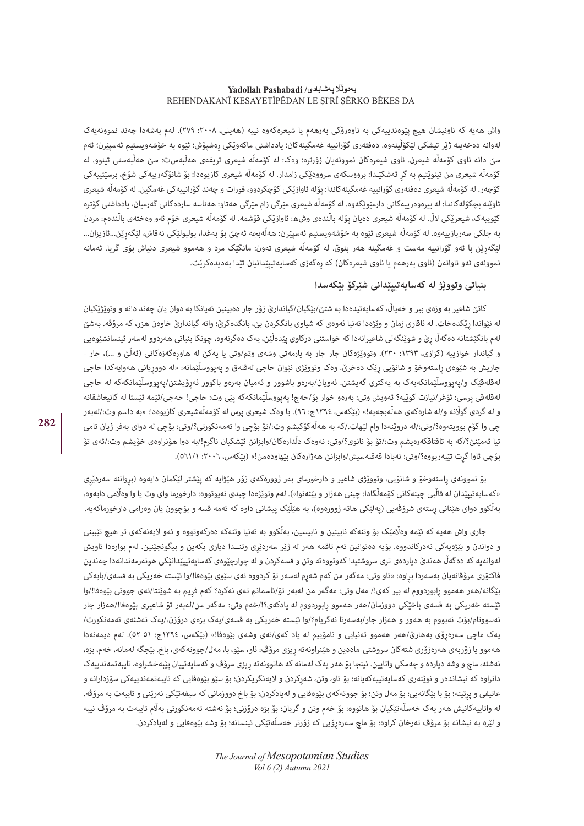واش هەیه که ناونیشان هیچ پێوەندییەکی به ناوەرۆکی بەرھەم یا شیعرەکەوه نییه (هەینی، ۲۰۰۸: ۲۷۹). لەم بەشەدا چەند نموونەیەک لەوانه دەخەینه ژێر تیشکی لێکۆڵینەوه. دەفتەری گۆرانییه غەمگینەکان؛ یادداشتی ماکەوێکی ڕەشپۆش؛ ئێوه به خۆشەویستیم ئەسپێرن؛ ئەم سێ دانه ناوی کۆمەڵە شیعرن. ناوی شیعرەکان نموونەیان زۆرتره؛ وەک: له کۆمەڵە شیعری تریفەی هەڵبەس*ت*: سێ هەڵبەستی تینوو. له کۆمەڵه شیعری من تینوێتیم به گڕ ئەشکێـدا: برووسکەی سروودێکی زامدار. له کۆمەڵه شیعری کازیوەدا: بۆ شانۆگەرییەکی شۆخ، برسێتییەکی کۆچەر. له کۆمەڵە شیعری دەفتەری گۆرانییە غەمگینەکاندا: پۆلە ئاوازێکی کۆچکردوو، فورات و چەند گۆرانییەکی غەمگین. له کۆمەڵە شیعری ئاوێنهبچکۆلەکاندا: له بیرەوەرییەکانی دارمێوێکەوه. له کۆمەڵه شیعری مێرگی زام مێرگی هەتا*و*: هەناسە ساردەکانی گەرمیان، یادداشتی کۆتره کێوییەک، شیعرێکی الڵ. له کۆمەڵه شیعری دەیان پۆله باڵندەی وش*ه*: ئاوازێکی قۆشمه. له کۆمەڵه شیعری خۆم ئەو وەختەی باڵندە*م*: مردن به جلکی سەربازییەوه. له کۆمەڵه شیعری ئێوه به خۆشەویستیم ئەسپێر*ن*: هەڵەبجه ئەچێ بۆ بەغدا، بولبولێکی نەقاش، لێگەڕێن...ئازیزان... لێگەڕێن با ئەو گۆرانییه مەست و غەمگینه هەر بنوێ. له کۆمەڵه شیعری تەون: مانگێک مرد و هەموو شیعری دنیاش بۆی گریا. ئەمانه نموونەی ئەو ناوانەن (ناوی بەرھەم یا ناوی شیعرەکان) کە رەگەزی کەسایەتیپێدانیان تێدا بەدیدەکرێت.

## **بنیاتی وتووێژ له کەسایەتیپێدانی شێرکۆ بێکەسدا**

کاتێ شاعیر به وزەی بیر و خەیاڵ، کەسایەتیدەدا بە شتێ/بێگیان/گیاندارێ زۆر جار دەبینین ئەیانکا بە دوان یان چەند دانە و وتوێژێکیان له نێواندا رێکدەخات. له ئاقاری زمان و وێژەدا تەنیا ئەوەی که شیاوی بانگدەرن؛ بانگدەکرێ؛ واته گیاندارێ خاوەن هزر، که مرۆڤه. بەشێ لەم بانگێشتانه دەگەڵ ڕێ و شوێنگەلی شاعیرانەدا که خواستنی درکاوی پێدەڵێن، یەک دەگرنەوه، چونکا بنیاتی هەردوو لەسەر ئینسانشێوەیی و گیاندار خوازییه (کزازی، ١٣٩٣: ٢٣٠). وتووێژەکان جار جار به یارمەتی وشەی وتم/وتی یا یەکێ له هاورەگەزەکانی (ئەڵێ و ...)، جار -جاریش به شێوەی راستەوخۆ و شانۆیی رێک دەخرێ. وەک وتووێژی نێوان حاجی لەقلەق و پەپووسڵێمانه: «له دووریانی هەوایەکدا حاجی لەقلەقێک و/پەپووسڵێمانکەیەک به یەکتری گەیشتن. ئەویان/بەرەو باشوور و ئەمیان بەرەو باکوور ئەڕۆیشتن/پەپووسڵێمانکەکه له حاجی لەقلەقی پرسی: ئۆغر/نیازت کوێیه؟ ئەویش وتی: بەرەو خوار بۆ/حەج! پەپووسڵێمانکەکه پێی وت: حاجی! حەجی/ئێمه ئێستا له کانیعاشقانه و له گردی گولّانه و/له شارەکەی ھەڵەبجەیە!» (بێکەس، ١٣٩٤ج: ٩٦). یا وەک شیعری پرس له کۆمەڵەشیعری کازیوەدا: «به داسم وت:/لەبەر چی وا کۆم بوویتەوه؟/وتی/:له دروێنەدا وام لێهات/.که به هەڵەکۆکیشم وت/:تۆ بۆچی وا تەمەنکورتی؟/وتی: بۆچی له دوای بەفر ژیان تامی تیا ئەمێنێ؟/که به تاقتاقکەرەیشم وت/:تۆ بۆ نانوی؟/وتی: نەوەک دڵدارەکان/وابزانن ئێشکیان ناگرم!/به دوا هۆنراوەی خۆیشم وت/:ئەی تۆ بۆچی ئاوا گرت تێبەربووه؟/وتی: نەبادا قەقنەسیش/وابزانێ هەژارەکان بێهاودەمن!» (بێکەس، ٢٠٠٦: ٥٦١/١).

بۆ نموونەی راستەوخۆ و شانۆیی، وتووێژی شاعیر و دارخورمای بەر ژوورەکەی زۆر هێژایه که پێشتر لێکمان دایەوه (برواننه سەردێری «کەسایەتیپێدان له قاڵبی چینەکانی کۆمەڵگادا: چینی هەژار و بێئەنوا»). لەم وتوێژەدا چیدی نەیوتووه: دارخورما وای وت یا وا وەڵامی دایەوه، بەڵکوو دوای هێنانی ڕستەی شرۆڤەیی )پەلێکی هاته ژوورەوه(، به هێڵێک پیشانی داوه که ئەمه قسه و بۆچوون یان وەرامی دارخورماکەیه.

جاری واش هەبه که ئێمه وەڵامێک بۆ وتنەکه نابینین و نابیسین، بەڵکوو به تەنیا وتنەکه دەرکەوتووه و ئەو لايەنەکەی تر هیچ تێبینی و دواندن و بێژەیەکی نەدرکاندووه. بۆیه دەتوانین ئەم تاقمه هەر له ژێر سەردێڕی وتنــدا دیاری بکەین و بیگونجێنین. لەم بوارەدا ئاویش لەوانەیە کە دەگەڵ ھەندێ دیاردەی تری سروشتیدا کەوتووەتە وتن و قسەکردن و لە چوارچێوەی کەسایەتیپێدانێکی ھونەرمەندانەدا چەندین فاکتۆری مرۆڤانەیان بەسەردا بڕاوه: »ئاو وتی: مەگەر من کەم شەڕم لەسەر تۆ کردووه ئەی سێوی بێوەفا!/وا ئێسته خەریکی به قسەی/بایەکی بێگانه/هەر هەموو ڕابوردووم له بیر کەی!/ مەل وتی: مەگەر من لەبەر تۆ/ئاسمانم تەی نەکرد؟ کەم فڕیم به شوێنتا/ئەی جووتی بێوەفا!/وا ئێسته خەریکی به قسەی باخێکی دووزمان/هەر هەموو ڕابوردووم له یادکەی؟!/خەم وتی: مەگەر من/لەبەر تۆ شاعیری بێوەفا!/هەزار جار نەسووتام/بۆت نەبووم به هەور و هەزار جار/بەسەرتا نەگریام؟/وا ئێسته خەریکی به قسەی/یەک بزەی درۆزن/،یەک نەشئەی تەمەنکورت/ یەک ماچی سەرەڕۆی بەهارێ/هەر هەموو تەنیایی و نامۆییم له یاد کەی/ئەی وشەی بێوەفا!« )بێکەس، ١٣٩٤ج: ٥٢-٥١(. لەم دیمەنەدا ههموو یا زۆربەی هەرەزۆری شتەکان سروشتی-ماددین و هێنراونەته رِیزی مرۆڤ: ئاو، سێو، با، مەل/جووتەکەی، باخ. بێجگه لەمانە، خەم، بزه، نەشئه، ماچ و وشه دیارده و چەمکی واتایین. ئینجا بۆ هەر یەک لەمانه که هاتوونەته ڕیزی مرۆڤ و کەسایەتییان پێبەخشراوه، تایبەتمەندییەک دانراوه که نیشاندەر و نوێنەری کەسایەتییەکەیانە؛ بۆ ئاو، وتن، شەرکردن و لایەنگریکردن؛ بۆ سێو بۆيەنى تایبەتمەندییەکی سۆزدارانه و عاتیفی و پرتینه؛ بۆ با بێگانەیی؛ بۆ مەل وتن؛ بۆ جووتەکەی بێوەفایی و لەیادکردن؛ بۆ باخ دووزمانی که سیفەتێکی نەرێنی و تایبەت بە مرۆڤه. له واتاییەکانیش هەر یەک خەسڵەتێکیان بۆ هاتووه: بۆ خەم وتن و گریان؛ بۆ بزه درۆزنی؛ بۆ نەشئه تەمەنکورتی بەاڵم تایبەت به مرۆڤ نییه و لێره به نیشانه بۆ مرۆڤ تەرخان کراوه؛ بۆ ماچ سەرەڕۆیی که زۆرتر خەسڵەتێکی ئینسانه؛ بۆ وشه بێوەفایی و لەیادکردن.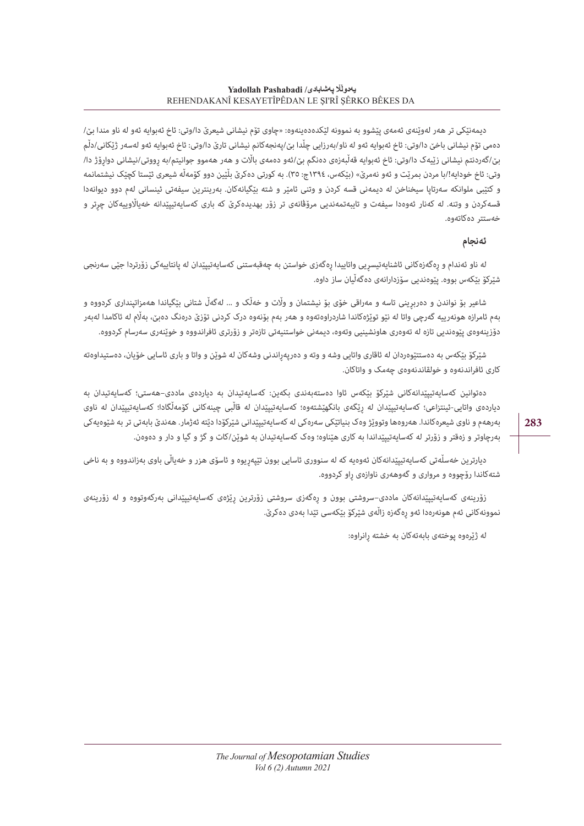دیمەنێکی تر هەر لەوێنەی ئەمەی پێشوو به نموونه لێکدەدەینەوه: »چاوی تۆم نیشانی شیعرێ دا/وتی: ئاخ ئەبوایه ئەو له ناو مندا بێ/ دەمی تۆم نیشانی باخێ دا/وتی: ئاخ ئەبوایە ئەو لە ناو/بەرزایی چڵدا بێ/پەنجەکانم نیشانی تارێ دا/وتی: ئاخ ئەبوایە ئەو لەسەر ژێکانی/دڵم بێ/گەردنتم نیشانی زێیەک دا/وتی: ئاخ ئەبوایە قەڵبەزەی دەنگم بێ/ئەو دەمەی باڵت و هەر هەموو جوانیتم/به رووتی/نیشانی دوارۆژ دا/ وتی: ئاخ خودایه!/با مردن بمریّت و ئەو نەمرێ» (بێکەس، ١٣٩٤ج: ٣٥). به کورتی دەکرێ بڵێین دوو کۆمەڵە شیعری ئێستا کچێک نیشتمانمه و کتێبی ملوانکه سەرتاپا سیخناخن له دیمەنی قسه کردن و وتنی ئامێر و شته بێگیانەکان. بەرینترین سیفەتی ئینسانی لەم دوو دیوانەدا قسەکردن و وتنه. له کەنار ئەوەدا سیفەت و تایبەتمەندیی مرۆڤانەی تر زۆر بهدیدەکرێ که باری کەسایەتیپێدانه خەیااڵوییەکان چڕتر و خەستتر دەکاتەوه.

## **ئەنجام**

له ناو ئەندام و ڕەگەزەکانی ئاشنایەتیسڕیی واتاییدا ڕەگەزی خواستن به چەقبەستنی کەسایەتیپێدان له پانتاییەکی زۆرتردا جێی سەرنجی شێرکۆ بێکەس بووه. پێوەندیی سۆزدارانەی دەگەڵیان ساز داوه.

شاعیر بۆ نواندن و دەربڕینی تاسه و مەراقی خۆی بۆ نیشتمان و واڵت و خەڵک و ... لەگەڵ شتانی بێگیاندا هەمزاتپنداری کردووه و بەم ئامرازه هونەرییه گەرچی واتا له نێو توێژەکاندا شاردراوەتەوه و هەر بەم بۆنەوه درک کردنی تۆزێ درەنگ دەبێ، بەاڵم له ئاکامدا لەبەر دۆزینەوەی پێوەندیی تازه له تەوەری هاونشینیی وتەوه، دیمەنی خواستنیەتی تازەتر و زۆرتری ئافراندووه و خوێنەری سەرسام کردووه.

شێرکۆ بێکەس بە دەستتێوەردان لە ئاقاری واتایی وشە و وته و دەرپەراندنی وشەکان لە شوێن و واتا و باری ئاسایی خۆیان، دەستیداوەته کاری ئافراندنەوه و خولقاندنەوەی چەمک و واتاکان.

دەتوانین کەسایەتیپێدانەکانی شێرکۆ بێکەس ئاوا دەستەبەندی بکەین: کەسایەتیدان به دیاردەی ماددی–هەستی؛ کەسایەتیدان به دیاردەی واتایی-ئینتزاعی؛ کەسایەتیپێدان له ڕێگەی بانگهێشتەوه؛ کەسایەتیپێدان له قاڵبی چینەکانی کۆمەڵگادا؛ کەسایەتیپێدان له ناوی بەرهەم و ناوی شیعرەکاندا. هەروەها وتووێژ وەک بنیاتێکی سەرەکی له کەسایەتیپێدانی شێرکۆدا دێته ئەژمار. هەندێ بابەتی تر به شێوەیەکی بەرچاوتر و زەقتر و زۆرتر له کەسایەتیپێداندا به کاری هێناوه؛ وەک کەسایەتیدان به شوێن/کات و گژ و گیا و دار و دەوەن.

دیارترین خەسڵەتی کەسایەتیپێدانەکان ئەوەیه که له سنووری ئاسایی بوون تێپەڕیوه و ئاسۆی هزر و خەیاڵی باوی بەزاندووه و به ناخی شتەکاندا رۆچووه و مرواری و گەوهەری ناوازەی ڕاو کردووه.

زۆرینەی کەسایەتیپێدانەکان ماددی–سروشتی بوون و ڕەگەزی سروشتی زۆرترین ڕێژەی کەسایەتیپێدانی بەرکەوتووه و له زۆرینەی نموونەکانی ئەم هونەرەدا ئەو ڕەگەزه زاڵەی شێرکۆ بێکەسی تێدا بەدی دەکرێ.

لە ژێرەوه پوختەی بابەتەکان به خشته ڕانراوه: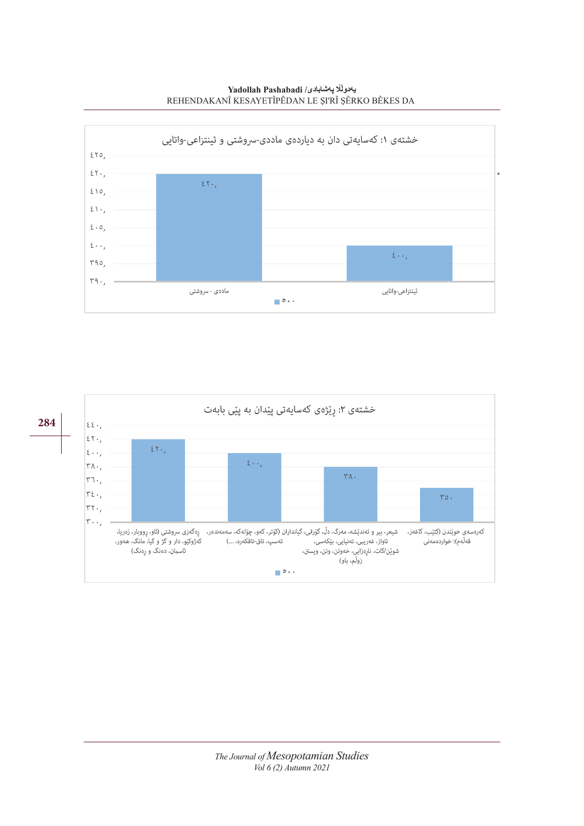**Yadollah Pashabadi /Yadollah Pashab** REHENDAKANÎ KESAYETÎPÊDAN LE ŞI'RÎ ŞÊRKO BÊKES DA



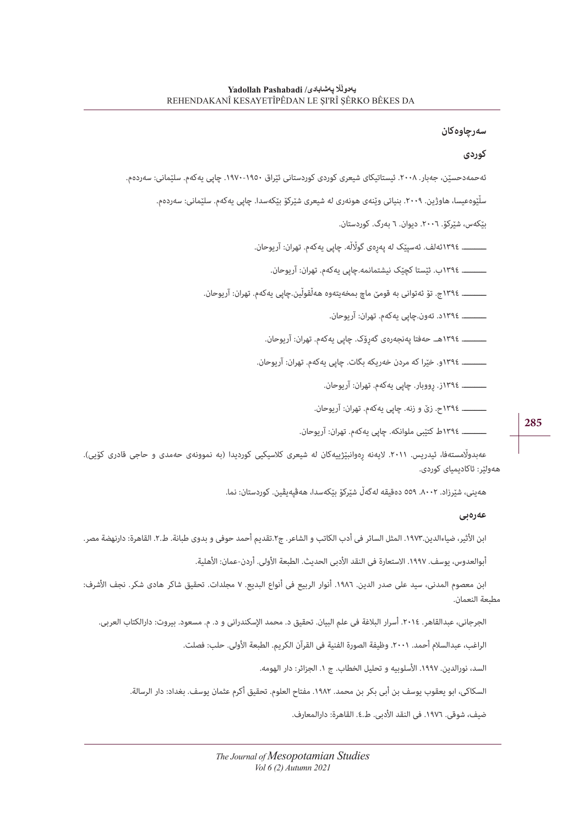#### **سەرچاوەکان**

#### **کوردی**

ئەحمەدحسێن، جەبار. .٢٠٠٨ ئیستاتیکای شیعری کوردی کوردستانی ئێراق .١٩٧٠-١٩٥٠ چاپی یەکەم. سلێمانی: سەردەم.

سڵێوەعیسا، هاوژین. .٢٠٠٩ بنیاتی وێنەی هونەری له شیعری شێرکۆ بێکەسدا. چاپی یەکەم. سلێمانی: سەردەم.

بێکەس، شێرکۆ. .٢٠٠٦ دیوان. ٦ بەرگ. کوردستان.

ــــــــــ. ١٣٩٤ئەلف. ئەسپێک له پەڕەی گواڵڵه. چاپی یەکەم. تهران: آریوحان.

ــــــــــ. ١٣٩٤ب. ئێستا کچێک نیشتمانمه.چاپی یەکەم. تهران: آریوحان.

ــــــــــ. ١٣٩٤ج. تۆ ئەتوانی به قومێ ماچ بمخەیتەوه هەڵقوڵین.چاپی یەکەم. تهران: آریوحان.

ــــــــــ. ١٣٩٤د. تەون.چاپی یەکەم. تهران: آریوحان.

ــــــــــ. ١٣٩٤هـ. حەفتا پەنجەرەی گەڕۆک. چاپی یەکەم. تهران: آریوحان.

ــــــــــ. ١٣٩٤و. خێرا که مردن خەریکه بگات. چاپی یەکەم. تهران: آریوحان.

ــــــــــ. ١٣٩٤ز. ڕووبار. چاپی یەکەم. تهران: آریوحان.

ــــــــــ. ١٣٩٤ح. زێ و زنه. چاپی یەکەم. تهران: آریوحان.

ــــــــــ. ١٣٩٤ط کتێبی ملوانکه. چاپی یەکەم. تهران: آریوحان.

عەبدولّامستەفا، ئیدریس. ٢٠١١. لایەنە رِەوانبێژییەکان له شیعری کلاسیکیی کوردیدا (به نموونەی حەمدی و حاجی قادری کۆیی). هەولێر: ئاکادیمیای کوردی.

هەینی، شێرزاد. .٨٠٠٢ ٥٥٩ دەقیقه لەگەڵ شێرکۆ بێکەسدا، هەڤپەیڤین. کوردستان: نما.

#### **عەرەبی**

ابن الأثیر، ضیاءالدین.١٩٧٣. المثل السائر فی أدب الكاتب و الشاعر. ج٢.تقدیم أحمد حوفی و بدوی طبانة. ط.٢. القاهرة: دارنهضة مصر.

أبوالعدوس، یوسف. ١٩٩٧. الاستعارة فی النقد الأدبی الحدیث. الطبعة الأولی. أردن-عمان: الأهلية.

ابن معصوم المدنی، سید علی صدر الدین. ١٩٨٦. أنوار الربیع فی أنواع البدیع. ٧ مجلدات. تحقیق شاکر هادی شکر. نجف الأشرف: مطبعة النعمان.

الجرجانی، عبدالقاهر. ٢٠١٤. أسرار البلاغة فی علم البیان. تحقیق د. محمد الإسکندرانی و د. م. مسعود. بیروت: دارالکتاب العربی.

الراغب، عبدالسلام أحمد. ٢٠٠١. وظيفة الصورة الفنية في القرآن الكريم. الطبعة الأولى. حلب: فصلت.

السد، نورالدین. ١٩٩٧. الأسلوبیه و تحلیل الخطاب. ج ١. الجزائر: دار الهومه.

السکاکی، ابو یعقوب یوسف بن أبی بکر بن محمد. .١٩٨٢ مفتاح العلوم. تحقیق أکرم عثمان یوسف. بغداد: دار الرسالة.

ضيف، شوقی. ١٩٧٦. فی النقد الأدبی. ط.٤. القاهرة: دارالمعارف.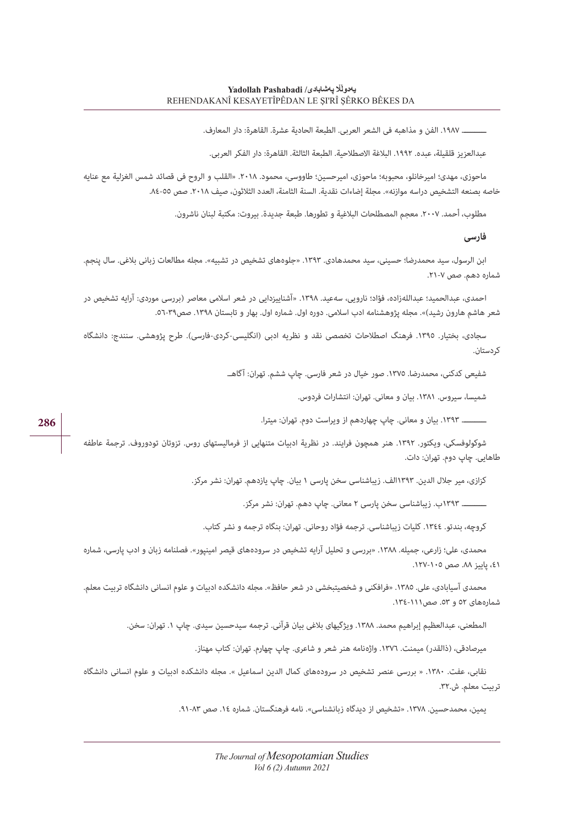ــــــــــ. .١٩٨٧ الفن و مذاهبه فی الشعر العربی. الطبعة الحادیة عشرة. القاهرة: دار المعارف.

عبدالعزیز قلقیلة، عبده. ١٩٩٢. البلاغة الاصطلاحیة. الطبعة الثالثة. القاهرة: دار الفكر العربی.

ماحوزی، مهدی؛ امیرخانلو، محبوبه؛ ماحوزی، امیرحسین؛ طاووسی، محمود. .٢٠١٨ »القلب و الروح فی قصائد شمس الغزلیة مع عنایه خاصه بصنعه التشخیص دراسه موازنه«. مجلة إضاءات نقدیة. السنة الثامنة، العدد الثالثون، صیف .٢٠١٨ صص .٨٤-٥٥

مطلوب، أحمد. ٢٠٠٧. معجم المصطلحات البلاغية و تطورها. طبعة جدیدة. بیروت: مكتبة لبنان ناشرون.

**فارسی**

ابن الرسول، سید محمدرضا؛ حسینی، سید محمدهادی. ١٣٩٣. «جلوههای تشخیص در تشبیه». مجله مطالعات زبانی بلاغی. سال پنجم. شماره دهم. صص .٢١-٧

احمدی، عبدالحمید؛ عبداللەزاده، فؤاد؛ نارویی، سەعید. .١٣٩٨ »آشناییزدایی در شعر اسالمی معاصر )بررسی موردی: آرایه تشخیص در شعر هاشم هارون رشید)». مجله پژوهشنامه ادب اسلامی. دوره اول. شماره اول. بهار و تابستان ١٣٩٨. صص٣٩-٥٦.

سجادی، بختیار. ١٣٩٥. فرهنگ اصطلاحات تخصصی نقد و نظریه ادبی (انگلیسی-کردی-فارسی). طرح پژوهشی. سنندج: دانشگاه کردستان.

شفیعی کدکنی، محمدرضا. .١٣٧٥ صور خیال در شعر فارسی. چاپ ششم. تهران: آگاهـ.

شمیسا، سیروس. .١٣٨١ بیان و معانی. تهران: انتشارات فردوس.

ــــــــــ. .١٣٩٣ بیان و معانی. چاپ چهاردهم از ویراست دوم. تهران: میترا.

شوکولوفسکی، ویکتور. .1392 هنر همچون فرایند. در نظریة ادبیات متنهایی از فرمالیستهای روس. تزوتان تودوروف. ترجمة عاطفه طاهایی. چاپ دوم. تهران: دات.

کزازی، میر جالل الدین. ١٣٩٣الف. زیباشناسی سخن پارسی ١ بیان. چاپ یازدهم. تهران: نشر مرکز.

ــــــــــ. ١٣٩٣ب. زیباشناسی سخن پارسی ٢ معانی. چاپ دهم. تهران: نشر مرکز.

کروچه، بندتو. .١٣٤٤ کلیات زیباشناسی. ترجمه فؤاد روحانی. تهران: بنگاه ترجمه و نشر کتاب.

محمدی، علی؛ زارعی، جمیله. .١٣٨٨ »بررسی و تحلیل آرایه تشخیص در سرودەهای قیصر امینپور«. فصلنامه زبان و ادب پارسی، شماره ،٤١ پاییز .٨٨ صص .١٢٧-١٠٥

محمدی آسیابادی، علی. .١٣٨٥ »فرافکنی و شخصیتبخشی در شعر حافظ«. مجله دانشکده ادبیات و علوم انسانی دانشگاه تربیت معلم. شمارەهای ٥٢ و .٥٣ صص.١٣٤-١١١

المطعنی، عبدالعظیم إبراهیم محمد. ١٣٨٨. ویژگیهای بلاغی بیان قرآنی. ترجمه سیدحسین سیدی. چاپ ١. تهران: سخن.

میرصادقی، (ذالقدر) میمنت. ١٣٧٦. واژەنامه هنر شعر و شاعری. چاپ چهارم. تهران: کتاب مهناز.

نقابی، عفت. .١٣٨٠ » بررسی عنصر تشخیص در سرودەهای کمال الدین اسماعیل «. مجله دانشکده ادبیات و علوم انسانی دانشگاه تربیت معلم. ش.٣٢.

یمین، محمدحسین. ١٣٧٨. «تشخیص از دیدگاه زبانشناسی». نامه فرهنگستان. شماره ١٤. صص ٨٣-٩١.